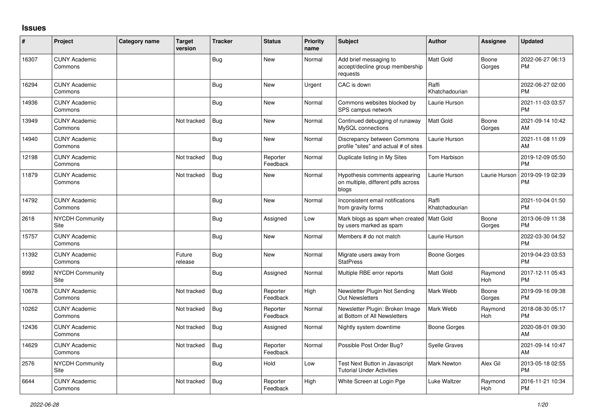## **Issues**

| #     | Project                         | Category name | <b>Target</b><br>version | <b>Tracker</b> | <b>Status</b>        | <b>Priority</b><br>name | <b>Subject</b>                                                               | <b>Author</b>           | <b>Assignee</b> | <b>Updated</b>                |
|-------|---------------------------------|---------------|--------------------------|----------------|----------------------|-------------------------|------------------------------------------------------------------------------|-------------------------|-----------------|-------------------------------|
| 16307 | <b>CUNY Academic</b><br>Commons |               |                          | Bug            | New                  | Normal                  | Add brief messaging to<br>accept/decline group membership<br>requests        | Matt Gold               | Boone<br>Gorges | 2022-06-27 06:13<br><b>PM</b> |
| 16294 | <b>CUNY Academic</b><br>Commons |               |                          | <b>Bug</b>     | New                  | Urgent                  | CAC is down                                                                  | Raffi<br>Khatchadourian |                 | 2022-06-27 02:00<br>PM        |
| 14936 | <b>CUNY Academic</b><br>Commons |               |                          | <b>Bug</b>     | New                  | Normal                  | Commons websites blocked by<br>SPS campus network                            | Laurie Hurson           |                 | 2021-11-03 03:57<br><b>PM</b> |
| 13949 | <b>CUNY Academic</b><br>Commons |               | Not tracked              | <b>Bug</b>     | New                  | Normal                  | Continued debugging of runaway<br>MySQL connections                          | Matt Gold               | Boone<br>Gorges | 2021-09-14 10:42<br>AM        |
| 14940 | <b>CUNY Academic</b><br>Commons |               |                          | <b>Bug</b>     | <b>New</b>           | Normal                  | Discrepancy between Commons<br>profile "sites" and actual # of sites         | Laurie Hurson           |                 | 2021-11-08 11:09<br>AM        |
| 12198 | <b>CUNY Academic</b><br>Commons |               | Not tracked              | Bug            | Reporter<br>Feedback | Normal                  | Duplicate listing in My Sites                                                | Tom Harbison            |                 | 2019-12-09 05:50<br><b>PM</b> |
| 11879 | <b>CUNY Academic</b><br>Commons |               | Not tracked              | Bug            | <b>New</b>           | Normal                  | Hypothesis comments appearing<br>on multiple, different pdfs across<br>blogs | Laurie Hurson           | Laurie Hurson   | 2019-09-19 02:39<br>PM        |
| 14792 | <b>CUNY Academic</b><br>Commons |               |                          | <b>Bug</b>     | <b>New</b>           | Normal                  | Inconsistent email notifications<br>from gravity forms                       | Raffi<br>Khatchadourian |                 | 2021-10-04 01:50<br><b>PM</b> |
| 2618  | <b>NYCDH Community</b><br>Site  |               |                          | <b>Bug</b>     | Assigned             | Low                     | Mark blogs as spam when created<br>by users marked as spam                   | Matt Gold               | Boone<br>Gorges | 2013-06-09 11:38<br>PM        |
| 15757 | <b>CUNY Academic</b><br>Commons |               |                          | <b>Bug</b>     | New                  | Normal                  | Members # do not match                                                       | Laurie Hurson           |                 | 2022-03-30 04:52<br><b>PM</b> |
| 11392 | <b>CUNY Academic</b><br>Commons |               | Future<br>release        | <b>Bug</b>     | <b>New</b>           | Normal                  | Migrate users away from<br><b>StatPress</b>                                  | <b>Boone Gorges</b>     |                 | 2019-04-23 03:53<br><b>PM</b> |
| 8992  | NYCDH Community<br>Site         |               |                          | Bug            | Assigned             | Normal                  | Multiple RBE error reports                                                   | Matt Gold               | Raymond<br>Hoh  | 2017-12-11 05:43<br>PM        |
| 10678 | <b>CUNY Academic</b><br>Commons |               | Not tracked              | Bug            | Reporter<br>Feedback | High                    | Newsletter Plugin Not Sending<br><b>Out Newsletters</b>                      | Mark Webb               | Boone<br>Gorges | 2019-09-16 09:38<br><b>PM</b> |
| 10262 | <b>CUNY Academic</b><br>Commons |               | Not tracked              | Bug            | Reporter<br>Feedback | Normal                  | Newsletter Plugin: Broken Image<br>at Bottom of All Newsletters              | Mark Webb               | Raymond<br>Hoh  | 2018-08-30 05:17<br><b>PM</b> |
| 12436 | <b>CUNY Academic</b><br>Commons |               | Not tracked              | Bug            | Assigned             | Normal                  | Nightly system downtime                                                      | Boone Gorges            |                 | 2020-08-01 09:30<br>AM        |
| 14629 | <b>CUNY Academic</b><br>Commons |               | Not tracked              | Bug            | Reporter<br>Feedback | Normal                  | Possible Post Order Bug?                                                     | <b>Syelle Graves</b>    |                 | 2021-09-14 10:47<br>AM        |
| 2576  | <b>NYCDH Community</b><br>Site  |               |                          | <b>Bug</b>     | Hold                 | Low                     | <b>Test Next Button in Javascript</b><br><b>Tutorial Under Activities</b>    | <b>Mark Newton</b>      | Alex Gil        | 2013-05-18 02:55<br><b>PM</b> |
| 6644  | <b>CUNY Academic</b><br>Commons |               | Not tracked              | Bug            | Reporter<br>Feedback | High                    | White Screen at Login Pge                                                    | Luke Waltzer            | Raymond<br>Hoh  | 2016-11-21 10:34<br><b>PM</b> |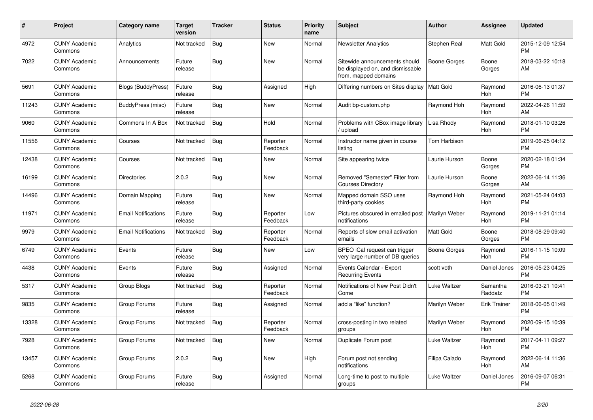| #     | Project                         | <b>Category name</b>       | Target<br>version | <b>Tracker</b> | <b>Status</b>        | <b>Priority</b><br>name | <b>Subject</b>                                                                            | <b>Author</b>       | <b>Assignee</b>     | <b>Updated</b>                |
|-------|---------------------------------|----------------------------|-------------------|----------------|----------------------|-------------------------|-------------------------------------------------------------------------------------------|---------------------|---------------------|-------------------------------|
| 4972  | <b>CUNY Academic</b><br>Commons | Analytics                  | Not tracked       | <b>Bug</b>     | <b>New</b>           | Normal                  | <b>Newsletter Analytics</b>                                                               | Stephen Real        | Matt Gold           | 2015-12-09 12:54<br><b>PM</b> |
| 7022  | <b>CUNY Academic</b><br>Commons | Announcements              | Future<br>release | Bug            | <b>New</b>           | Normal                  | Sitewide announcements should<br>be displayed on, and dismissable<br>from, mapped domains | <b>Boone Gorges</b> | Boone<br>Gorges     | 2018-03-22 10:18<br>AM        |
| 5691  | <b>CUNY Academic</b><br>Commons | <b>Blogs (BuddyPress)</b>  | Future<br>release | Bug            | Assigned             | High                    | Differing numbers on Sites display   Matt Gold                                            |                     | Raymond<br>Hoh      | 2016-06-13 01:37<br><b>PM</b> |
| 11243 | <b>CUNY Academic</b><br>Commons | BuddyPress (misc)          | Future<br>release | <b>Bug</b>     | <b>New</b>           | Normal                  | Audit bp-custom.php                                                                       | Raymond Hoh         | Raymond<br>Hoh      | 2022-04-26 11:59<br>AM        |
| 9060  | <b>CUNY Academic</b><br>Commons | Commons In A Box           | Not tracked       | <b>Bug</b>     | Hold                 | Normal                  | Problems with CBox image library<br>/ upload                                              | Lisa Rhody          | Raymond<br>Hoh      | 2018-01-10 03:26<br><b>PM</b> |
| 11556 | <b>CUNY Academic</b><br>Commons | Courses                    | Not tracked       | Bug            | Reporter<br>Feedback | Normal                  | Instructor name given in course<br>listing                                                | Tom Harbison        |                     | 2019-06-25 04:12<br><b>PM</b> |
| 12438 | <b>CUNY Academic</b><br>Commons | Courses                    | Not tracked       | <b>Bug</b>     | <b>New</b>           | Normal                  | Site appearing twice                                                                      | Laurie Hurson       | Boone<br>Gorges     | 2020-02-18 01:34<br><b>PM</b> |
| 16199 | <b>CUNY Academic</b><br>Commons | <b>Directories</b>         | 2.0.2             | <b>Bug</b>     | <b>New</b>           | Normal                  | Removed "Semester" Filter from<br><b>Courses Directory</b>                                | Laurie Hurson       | Boone<br>Gorges     | 2022-06-14 11:36<br>AM        |
| 14496 | <b>CUNY Academic</b><br>Commons | Domain Mapping             | Future<br>release | Bug            | <b>New</b>           | Normal                  | Mapped domain SSO uses<br>third-party cookies                                             | Raymond Hoh         | Raymond<br>Hoh      | 2021-05-24 04:03<br><b>PM</b> |
| 11971 | <b>CUNY Academic</b><br>Commons | <b>Email Notifications</b> | Future<br>release | Bug            | Reporter<br>Feedback | Low                     | Pictures obscured in emailed post<br>notifications                                        | Marilyn Weber       | Raymond<br>Hoh      | 2019-11-21 01:14<br><b>PM</b> |
| 9979  | <b>CUNY Academic</b><br>Commons | <b>Email Notifications</b> | Not tracked       | Bug            | Reporter<br>Feedback | Normal                  | Reports of slow email activation<br>emails                                                | <b>Matt Gold</b>    | Boone<br>Gorges     | 2018-08-29 09:40<br><b>PM</b> |
| 6749  | <b>CUNY Academic</b><br>Commons | Events                     | Future<br>release | <b>Bug</b>     | <b>New</b>           | Low                     | BPEO iCal request can trigger<br>very large number of DB queries                          | Boone Gorges        | Raymond<br>Hoh      | 2016-11-15 10:09<br><b>PM</b> |
| 4438  | <b>CUNY Academic</b><br>Commons | Events                     | Future<br>release | Bug            | Assigned             | Normal                  | Events Calendar - Export<br><b>Recurring Events</b>                                       | scott voth          | Daniel Jones        | 2016-05-23 04:25<br><b>PM</b> |
| 5317  | <b>CUNY Academic</b><br>Commons | Group Blogs                | Not tracked       | <b>Bug</b>     | Reporter<br>Feedback | Normal                  | Notifications of New Post Didn't<br>Come                                                  | Luke Waltzer        | Samantha<br>Raddatz | 2016-03-21 10:41<br><b>PM</b> |
| 9835  | <b>CUNY Academic</b><br>Commons | Group Forums               | Future<br>release | <b>Bug</b>     | Assigned             | Normal                  | add a "like" function?                                                                    | Marilyn Weber       | <b>Erik Trainer</b> | 2018-06-05 01:49<br><b>PM</b> |
| 13328 | <b>CUNY Academic</b><br>Commons | Group Forums               | Not tracked       | <b>Bug</b>     | Reporter<br>Feedback | Normal                  | cross-posting in two related<br>groups                                                    | Marilyn Weber       | Raymond<br>Hoh      | 2020-09-15 10:39<br><b>PM</b> |
| 7928  | <b>CUNY Academic</b><br>Commons | Group Forums               | Not tracked       | <b>Bug</b>     | <b>New</b>           | Normal                  | Duplicate Forum post                                                                      | Luke Waltzer        | Raymond<br>Hoh      | 2017-04-11 09:27<br><b>PM</b> |
| 13457 | <b>CUNY Academic</b><br>Commons | Group Forums               | 2.0.2             | <b>Bug</b>     | <b>New</b>           | High                    | Forum post not sending<br>notifications                                                   | Filipa Calado       | Raymond<br>Hoh      | 2022-06-14 11:36<br>AM        |
| 5268  | <b>CUNY Academic</b><br>Commons | Group Forums               | Future<br>release | Bug            | Assigned             | Normal                  | Long-time to post to multiple<br>groups                                                   | Luke Waltzer        | Daniel Jones        | 2016-09-07 06:31<br><b>PM</b> |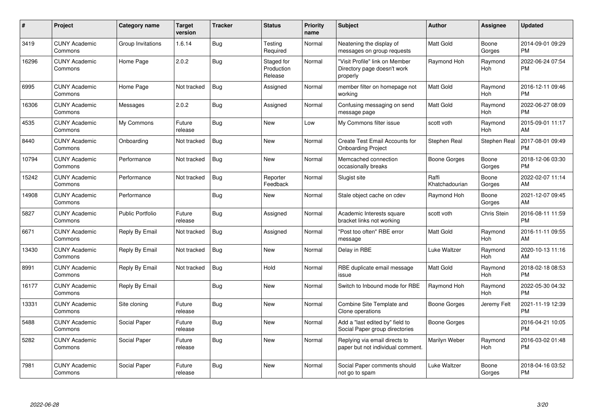| #     | Project                         | <b>Category name</b> | <b>Target</b><br>version | <b>Tracker</b> | <b>Status</b>                       | <b>Priority</b><br>name | <b>Subject</b>                                                            | <b>Author</b>           | <b>Assignee</b>       | <b>Updated</b>                |
|-------|---------------------------------|----------------------|--------------------------|----------------|-------------------------------------|-------------------------|---------------------------------------------------------------------------|-------------------------|-----------------------|-------------------------------|
| 3419  | <b>CUNY Academic</b><br>Commons | Group Invitations    | 1.6.14                   | <b>Bug</b>     | Testing<br>Required                 | Normal                  | Neatening the display of<br>messages on group requests                    | <b>Matt Gold</b>        | Boone<br>Gorges       | 2014-09-01 09:29<br><b>PM</b> |
| 16296 | <b>CUNY Academic</b><br>Commons | Home Page            | 2.0.2                    | <b>Bug</b>     | Staged for<br>Production<br>Release | Normal                  | "Visit Profile" link on Member<br>Directory page doesn't work<br>properly | Raymond Hoh             | Raymond<br>Hoh        | 2022-06-24 07:54<br><b>PM</b> |
| 6995  | <b>CUNY Academic</b><br>Commons | Home Page            | Not tracked              | <b>Bug</b>     | Assigned                            | Normal                  | member filter on homepage not<br>working                                  | Matt Gold               | Raymond<br>Hoh        | 2016-12-11 09:46<br><b>PM</b> |
| 16306 | <b>CUNY Academic</b><br>Commons | Messages             | 2.0.2                    | Bug            | Assigned                            | Normal                  | Confusing messaging on send<br>message page                               | Matt Gold               | Raymond<br>Hoh        | 2022-06-27 08:09<br><b>PM</b> |
| 4535  | <b>CUNY Academic</b><br>Commons | My Commons           | Future<br>release        | Bug            | New                                 | Low                     | My Commons filter issue                                                   | scott voth              | Raymond<br>Hoh        | 2015-09-01 11:17<br>AM        |
| 8440  | <b>CUNY Academic</b><br>Commons | Onboarding           | Not tracked              | <b>Bug</b>     | <b>New</b>                          | Normal                  | Create Test Email Accounts for<br><b>Onboarding Project</b>               | Stephen Real            | Stephen Real          | 2017-08-01 09:49<br><b>PM</b> |
| 10794 | <b>CUNY Academic</b><br>Commons | Performance          | Not tracked              | <b>Bug</b>     | New                                 | Normal                  | Memcached connection<br>occasionally breaks                               | Boone Gorges            | Boone<br>Gorges       | 2018-12-06 03:30<br><b>PM</b> |
| 15242 | <b>CUNY Academic</b><br>Commons | Performance          | Not tracked              | <b>Bug</b>     | Reporter<br>Feedback                | Normal                  | Slugist site                                                              | Raffi<br>Khatchadourian | Boone<br>Gorges       | 2022-02-07 11:14<br>AM        |
| 14908 | <b>CUNY Academic</b><br>Commons | Performance          |                          | Bug            | New                                 | Normal                  | Stale object cache on cdev                                                | Raymond Hoh             | Boone<br>Gorges       | 2021-12-07 09:45<br>AM        |
| 5827  | <b>CUNY Academic</b><br>Commons | Public Portfolio     | Future<br>release        | Bug            | Assigned                            | Normal                  | Academic Interests square<br>bracket links not working                    | scott voth              | Chris Stein           | 2016-08-11 11:59<br><b>PM</b> |
| 6671  | <b>CUNY Academic</b><br>Commons | Reply By Email       | Not tracked              | <b>Bug</b>     | Assigned                            | Normal                  | "Post too often" RBE error<br>message                                     | Matt Gold               | Raymond<br>Hoh        | 2016-11-11 09:55<br>AM        |
| 13430 | <b>CUNY Academic</b><br>Commons | Reply By Email       | Not tracked              | <b>Bug</b>     | New                                 | Normal                  | Delay in RBE                                                              | Luke Waltzer            | Raymond<br>Hoh        | 2020-10-13 11:16<br>AM        |
| 8991  | <b>CUNY Academic</b><br>Commons | Reply By Email       | Not tracked              | <b>Bug</b>     | Hold                                | Normal                  | RBE duplicate email message<br>issue                                      | <b>Matt Gold</b>        | Raymond<br>Hoh        | 2018-02-18 08:53<br><b>PM</b> |
| 16177 | <b>CUNY Academic</b><br>Commons | Reply By Email       |                          | Bug            | <b>New</b>                          | Normal                  | Switch to Inbound mode for RBE                                            | Raymond Hoh             | Raymond<br><b>Hoh</b> | 2022-05-30 04:32<br><b>PM</b> |
| 13331 | <b>CUNY Academic</b><br>Commons | Site cloning         | Future<br>release        | <b>Bug</b>     | <b>New</b>                          | Normal                  | Combine Site Template and<br>Clone operations                             | Boone Gorges            | Jeremy Felt           | 2021-11-19 12:39<br><b>PM</b> |
| 5488  | <b>CUNY Academic</b><br>Commons | Social Paper         | Future<br>release        | Bug            | New                                 | Normal                  | Add a "last edited by" field to<br>Social Paper group directories         | Boone Gorges            |                       | 2016-04-21 10:05<br><b>PM</b> |
| 5282  | <b>CUNY Academic</b><br>Commons | Social Paper         | Future<br>release        | Bug            | New                                 | Normal                  | Replying via email directs to<br>paper but not individual comment.        | Marilyn Weber           | Raymond<br>Hoh        | 2016-03-02 01:48<br><b>PM</b> |
| 7981  | <b>CUNY Academic</b><br>Commons | Social Paper         | Future<br>release        | Bug            | New                                 | Normal                  | Social Paper comments should<br>not go to spam                            | Luke Waltzer            | Boone<br>Gorges       | 2018-04-16 03:52<br><b>PM</b> |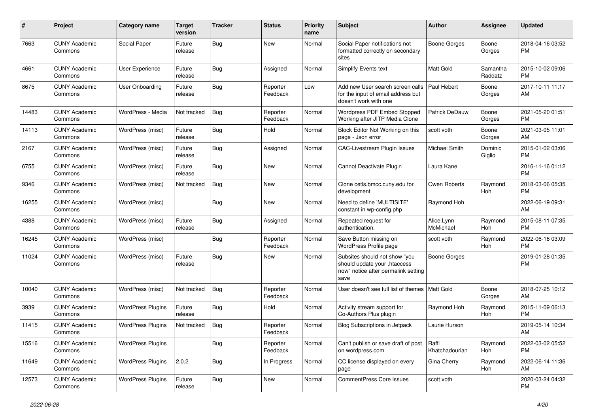| #     | Project                         | <b>Category name</b>     | <b>Target</b><br>version | <b>Tracker</b> | <b>Status</b>        | <b>Priority</b><br>name | <b>Subject</b>                                                                                               | <b>Author</b>           | <b>Assignee</b>     | <b>Updated</b>                |
|-------|---------------------------------|--------------------------|--------------------------|----------------|----------------------|-------------------------|--------------------------------------------------------------------------------------------------------------|-------------------------|---------------------|-------------------------------|
| 7663  | <b>CUNY Academic</b><br>Commons | Social Paper             | Future<br>release        | <b>Bug</b>     | <b>New</b>           | Normal                  | Social Paper notifications not<br>formatted correctly on secondary<br>sites                                  | <b>Boone Gorges</b>     | Boone<br>Gorges     | 2018-04-16 03:52<br><b>PM</b> |
| 4661  | <b>CUNY Academic</b><br>Commons | <b>User Experience</b>   | Future<br>release        | Bug            | Assigned             | Normal                  | Simplify Events text                                                                                         | <b>Matt Gold</b>        | Samantha<br>Raddatz | 2015-10-02 09:06<br><b>PM</b> |
| 8675  | <b>CUNY Academic</b><br>Commons | <b>User Onboarding</b>   | Future<br>release        | <b>Bug</b>     | Reporter<br>Feedback | Low                     | Add new User search screen calls<br>for the input of email address but<br>doesn't work with one              | Paul Hebert             | Boone<br>Gorges     | 2017-10-11 11:17<br>AM        |
| 14483 | <b>CUNY Academic</b><br>Commons | WordPress - Media        | Not tracked              | <b>Bug</b>     | Reporter<br>Feedback | Normal                  | Wordpress PDF Embed Stopped<br>Working after JITP Media Clone                                                | Patrick DeDauw          | Boone<br>Gorges     | 2021-05-20 01:51<br><b>PM</b> |
| 14113 | <b>CUNY Academic</b><br>Commons | WordPress (misc)         | Future<br>release        | Bug            | Hold                 | Normal                  | Block Editor Not Working on this<br>page - Json error                                                        | scott voth              | Boone<br>Gorges     | 2021-03-05 11:01<br>AM        |
| 2167  | <b>CUNY Academic</b><br>Commons | WordPress (misc)         | Future<br>release        | Bug            | Assigned             | Normal                  | <b>CAC-Livestream Plugin Issues</b>                                                                          | Michael Smith           | Dominic<br>Giglio   | 2015-01-02 03:06<br><b>PM</b> |
| 6755  | <b>CUNY Academic</b><br>Commons | WordPress (misc)         | Future<br>release        | <b>Bug</b>     | <b>New</b>           | Normal                  | Cannot Deactivate Plugin                                                                                     | Laura Kane              |                     | 2016-11-16 01:12<br><b>PM</b> |
| 9346  | <b>CUNY Academic</b><br>Commons | WordPress (misc)         | Not tracked              | Bug            | New                  | Normal                  | Clone cetls.bmcc.cuny.edu for<br>development                                                                 | Owen Roberts            | Raymond<br>Hoh      | 2018-03-06 05:35<br><b>PM</b> |
| 16255 | <b>CUNY Academic</b><br>Commons | WordPress (misc)         |                          | <b>Bug</b>     | <b>New</b>           | Normal                  | Need to define 'MULTISITE'<br>constant in wp-config.php                                                      | Raymond Hoh             |                     | 2022-06-19 09:31<br>AM        |
| 4388  | <b>CUNY Academic</b><br>Commons | WordPress (misc)         | Future<br>release        | <b>Bug</b>     | Assigned             | Normal                  | Repeated request for<br>authentication.                                                                      | Alice.Lynn<br>McMichael | Raymond<br>Hoh      | 2015-08-11 07:35<br><b>PM</b> |
| 16245 | <b>CUNY Academic</b><br>Commons | WordPress (misc)         |                          | <b>Bug</b>     | Reporter<br>Feedback | Normal                  | Save Button missing on<br>WordPress Profile page                                                             | scott voth              | Raymond<br>Hoh      | 2022-06-16 03:09<br><b>PM</b> |
| 11024 | <b>CUNY Academic</b><br>Commons | WordPress (misc)         | Future<br>release        | <b>Bug</b>     | <b>New</b>           | Normal                  | Subsites should not show "you<br>should update your .htaccess<br>now" notice after permalink setting<br>save | <b>Boone Gorges</b>     |                     | 2019-01-28 01:35<br><b>PM</b> |
| 10040 | <b>CUNY Academic</b><br>Commons | WordPress (misc)         | Not tracked              | <b>Bug</b>     | Reporter<br>Feedback | Normal                  | User doesn't see full list of themes   Matt Gold                                                             |                         | Boone<br>Gorges     | 2018-07-25 10:12<br>AM        |
| 3939  | <b>CUNY Academic</b><br>Commons | <b>WordPress Plugins</b> | Future<br>release        | Bug            | Hold                 | Normal                  | Activity stream support for<br>Co-Authors Plus plugin                                                        | Raymond Hoh             | Raymond<br>Hoh      | 2015-11-09 06:13<br><b>PM</b> |
| 11415 | <b>CUNY Academic</b><br>Commons | <b>WordPress Plugins</b> | Not tracked              | Bug            | Reporter<br>Feedback | Normal                  | <b>Blog Subscriptions in Jetpack</b>                                                                         | Laurie Hurson           |                     | 2019-05-14 10:34<br>AM        |
| 15516 | <b>CUNY Academic</b><br>Commons | <b>WordPress Plugins</b> |                          | <b>Bug</b>     | Reporter<br>Feedback | Normal                  | Can't publish or save draft of post<br>on wordpress.com                                                      | Raffi<br>Khatchadourian | Raymond<br>Hoh      | 2022-03-02 05:52<br>PM        |
| 11649 | <b>CUNY Academic</b><br>Commons | <b>WordPress Plugins</b> | 2.0.2                    | <b>Bug</b>     | In Progress          | Normal                  | CC license displayed on every<br>page                                                                        | Gina Cherry             | Raymond<br>Hoh      | 2022-06-14 11:36<br>AM        |
| 12573 | <b>CUNY Academic</b><br>Commons | <b>WordPress Plugins</b> | Future<br>release        | <b>Bug</b>     | New                  | Normal                  | CommentPress Core Issues                                                                                     | scott voth              |                     | 2020-03-24 04:32<br><b>PM</b> |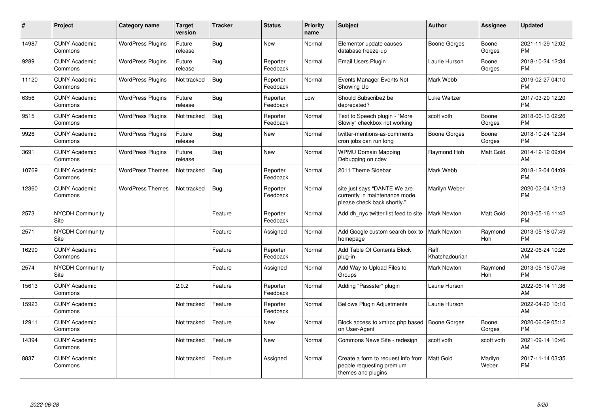| #     | Project                         | Category name            | <b>Target</b><br>version | <b>Tracker</b> | <b>Status</b>        | <b>Priority</b><br>name | <b>Subject</b>                                                                                | <b>Author</b>           | <b>Assignee</b>       | <b>Updated</b>                |
|-------|---------------------------------|--------------------------|--------------------------|----------------|----------------------|-------------------------|-----------------------------------------------------------------------------------------------|-------------------------|-----------------------|-------------------------------|
| 14987 | <b>CUNY Academic</b><br>Commons | <b>WordPress Plugins</b> | Future<br>release        | <b>Bug</b>     | <b>New</b>           | Normal                  | Elementor update causes<br>database freeze-up                                                 | Boone Gorges            | Boone<br>Gorges       | 2021-11-29 12:02<br><b>PM</b> |
| 9289  | <b>CUNY Academic</b><br>Commons | <b>WordPress Plugins</b> | Future<br>release        | <b>Bug</b>     | Reporter<br>Feedback | Normal                  | <b>Email Users Plugin</b>                                                                     | Laurie Hurson           | Boone<br>Gorges       | 2018-10-24 12:34<br><b>PM</b> |
| 11120 | <b>CUNY Academic</b><br>Commons | <b>WordPress Plugins</b> | Not tracked              | <b>Bug</b>     | Reporter<br>Feedback | Normal                  | Events Manager Events Not<br>Showing Up                                                       | Mark Webb               |                       | 2019-02-27 04:10<br><b>PM</b> |
| 6356  | <b>CUNY Academic</b><br>Commons | <b>WordPress Plugins</b> | Future<br>release        | <b>Bug</b>     | Reporter<br>Feedback | Low                     | Should Subscribe2 be<br>deprecated?                                                           | Luke Waltzer            |                       | 2017-03-20 12:20<br><b>PM</b> |
| 9515  | <b>CUNY Academic</b><br>Commons | <b>WordPress Plugins</b> | Not tracked              | <b>Bug</b>     | Reporter<br>Feedback | Normal                  | Text to Speech plugin - "More<br>Slowly" checkbox not working                                 | scott voth              | Boone<br>Gorges       | 2018-06-13 02:26<br><b>PM</b> |
| 9926  | <b>CUNY Academic</b><br>Commons | <b>WordPress Plugins</b> | Future<br>release        | <b>Bug</b>     | <b>New</b>           | Normal                  | twitter-mentions-as-comments<br>cron jobs can run long                                        | <b>Boone Gorges</b>     | Boone<br>Gorges       | 2018-10-24 12:34<br><b>PM</b> |
| 3691  | <b>CUNY Academic</b><br>Commons | <b>WordPress Plugins</b> | Future<br>release        | Bug            | New                  | Normal                  | <b>WPMU Domain Mapping</b><br>Debugging on cdev                                               | Raymond Hoh             | <b>Matt Gold</b>      | 2014-12-12 09:04<br>AM        |
| 10769 | <b>CUNY Academic</b><br>Commons | <b>WordPress Themes</b>  | Not tracked              | <b>Bug</b>     | Reporter<br>Feedback | Normal                  | 2011 Theme Sidebar                                                                            | Mark Webb               |                       | 2018-12-04 04:09<br><b>PM</b> |
| 12360 | <b>CUNY Academic</b><br>Commons | <b>WordPress Themes</b>  | Not tracked              | <b>Bug</b>     | Reporter<br>Feedback | Normal                  | site just says "DANTE We are<br>currently in maintenance mode,<br>please check back shortly." | Marilyn Weber           |                       | 2020-02-04 12:13<br><b>PM</b> |
| 2573  | <b>NYCDH Community</b><br>Site  |                          |                          | Feature        | Reporter<br>Feedback | Normal                  | Add dh nyc twitter list feed to site                                                          | <b>Mark Newton</b>      | <b>Matt Gold</b>      | 2013-05-16 11:42<br><b>PM</b> |
| 2571  | NYCDH Community<br>Site         |                          |                          | Feature        | Assigned             | Normal                  | Add Google custom search box to<br>homepage                                                   | <b>Mark Newton</b>      | Raymond<br><b>Hoh</b> | 2013-05-18 07:49<br><b>PM</b> |
| 16290 | <b>CUNY Academic</b><br>Commons |                          |                          | Feature        | Reporter<br>Feedback | Normal                  | Add Table Of Contents Block<br>plug-in                                                        | Raffi<br>Khatchadourian |                       | 2022-06-24 10:26<br>AM        |
| 2574  | NYCDH Community<br>Site         |                          |                          | Feature        | Assigned             | Normal                  | Add Way to Upload Files to<br>Groups                                                          | <b>Mark Newton</b>      | Raymond<br><b>Hoh</b> | 2013-05-18 07:46<br><b>PM</b> |
| 15613 | <b>CUNY Academic</b><br>Commons |                          | 2.0.2                    | Feature        | Reporter<br>Feedback | Normal                  | Adding "Passster" plugin                                                                      | Laurie Hurson           |                       | 2022-06-14 11:36<br>AM        |
| 15923 | <b>CUNY Academic</b><br>Commons |                          | Not tracked              | Feature        | Reporter<br>Feedback | Normal                  | <b>Bellows Plugin Adjustments</b>                                                             | Laurie Hurson           |                       | 2022-04-20 10:10<br>AM        |
| 12911 | <b>CUNY Academic</b><br>Commons |                          | Not tracked              | Feature        | <b>New</b>           | Normal                  | Block access to xmlrpc.php based<br>on User-Agent                                             | <b>Boone Gorges</b>     | Boone<br>Gorges       | 2020-06-09 05:12<br><b>PM</b> |
| 14394 | <b>CUNY Academic</b><br>Commons |                          | Not tracked              | Feature        | <b>New</b>           | Normal                  | Commons News Site - redesign                                                                  | scott voth              | scott voth            | 2021-09-14 10:46<br>AM        |
| 8837  | <b>CUNY Academic</b><br>Commons |                          | Not tracked              | Feature        | Assigned             | Normal                  | Create a form to request info from<br>people requesting premium<br>themes and plugins         | <b>Matt Gold</b>        | Marilyn<br>Weber      | 2017-11-14 03:35<br><b>PM</b> |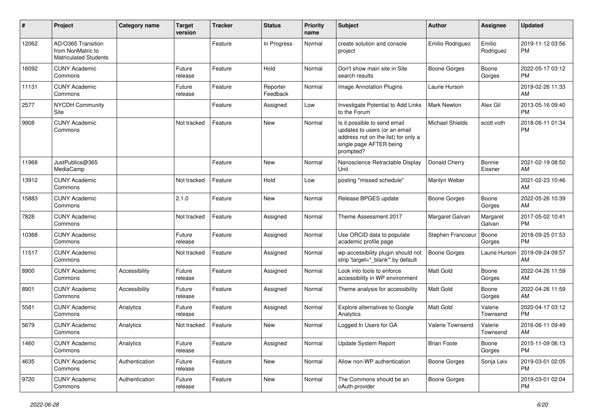| #     | Project                                                                 | <b>Category name</b> | <b>Target</b><br>version | <b>Tracker</b> | <b>Status</b>        | <b>Priority</b><br>name | <b>Subject</b>                                                                                                                               | <b>Author</b>          | <b>Assignee</b>     | <b>Updated</b>                |
|-------|-------------------------------------------------------------------------|----------------------|--------------------------|----------------|----------------------|-------------------------|----------------------------------------------------------------------------------------------------------------------------------------------|------------------------|---------------------|-------------------------------|
| 12062 | AD/O365 Transition<br>from NonMatric to<br><b>Matriculated Students</b> |                      |                          | Feature        | In Progress          | Normal                  | create solution and console<br>project                                                                                                       | Emilio Rodriguez       | Emilio<br>Rodriguez | 2019-11-12 03:56<br>РM        |
| 16092 | <b>CUNY Academic</b><br>Commons                                         |                      | Future<br>release        | Feature        | Hold                 | Normal                  | Don't show main site in Site<br>search results                                                                                               | <b>Boone Gorges</b>    | Boone<br>Gorges     | 2022-05-17 03:12<br><b>PM</b> |
| 11131 | <b>CUNY Academic</b><br>Commons                                         |                      | Future<br>release        | Feature        | Reporter<br>Feedback | Normal                  | Image Annotation Plugins                                                                                                                     | Laurie Hurson          |                     | 2019-02-26 11:33<br>AM        |
| 2577  | <b>NYCDH Community</b><br>Site                                          |                      |                          | Feature        | Assigned             | Low                     | Investigate Potential to Add Links<br>to the Forum                                                                                           | <b>Mark Newton</b>     | Alex Gil            | 2013-05-16 09:40<br><b>PM</b> |
| 9908  | <b>CUNY Academic</b><br>Commons                                         |                      | Not tracked              | Feature        | New                  | Normal                  | Is it possible to send email<br>updates to users (or an email<br>address not on the list) for only a<br>single page AFTER being<br>prompted? | <b>Michael Shields</b> | scott voth          | 2018-06-11 01:34<br><b>PM</b> |
| 11968 | JustPublics@365<br>MediaCamp                                            |                      |                          | Feature        | New                  | Normal                  | Nanoscience Retractable Display<br>Unit                                                                                                      | Donald Cherry          | Bonnie<br>Eissner   | 2021-02-19 08:50<br>AM        |
| 13912 | <b>CUNY Academic</b><br>Commons                                         |                      | Not tracked              | Feature        | Hold                 | Low                     | posting "missed schedule"                                                                                                                    | Marilyn Weber          |                     | 2021-02-23 10:46<br>AM        |
| 15883 | <b>CUNY Academic</b><br>Commons                                         |                      | 2.1.0                    | Feature        | New                  | Normal                  | Release BPGES update                                                                                                                         | Boone Gorges           | Boone<br>Gorges     | 2022-05-26 10:39<br>AM        |
| 7828  | <b>CUNY Academic</b><br>Commons                                         |                      | Not tracked              | Feature        | Assigned             | Normal                  | Theme Assessment 2017                                                                                                                        | Margaret Galvan        | Margaret<br>Galvan  | 2017-05-02 10:41<br><b>PM</b> |
| 10368 | <b>CUNY Academic</b><br>Commons                                         |                      | Future<br>release        | Feature        | Assigned             | Normal                  | Use ORCID data to populate<br>academic profile page                                                                                          | Stephen Francoeur      | Boone<br>Gorges     | 2018-09-25 01:53<br><b>PM</b> |
| 11517 | <b>CUNY Academic</b><br>Commons                                         |                      | Not tracked              | Feature        | Assigned             | Normal                  | wp-accessibility plugin should not<br>strip 'target="_blank" by default                                                                      | <b>Boone Gorges</b>    | Laurie Hurson       | 2019-09-24 09:57<br>AM        |
| 8900  | <b>CUNY Academic</b><br>Commons                                         | Accessibility        | Future<br>release        | Feature        | Assigned             | Normal                  | Look into tools to enforce<br>accessibility in WP environment                                                                                | Matt Gold              | Boone<br>Gorges     | 2022-04-26 11:59<br>AM        |
| 8901  | <b>CUNY Academic</b><br>Commons                                         | Accessibility        | Future<br>release        | Feature        | Assigned             | Normal                  | Theme analysis for accessibility                                                                                                             | <b>Matt Gold</b>       | Boone<br>Gorges     | 2022-04-26 11:59<br>AM        |
| 5581  | <b>CUNY Academic</b><br>Commons                                         | Analytics            | Future<br>release        | Feature        | Assigned             | Normal                  | Explore alternatives to Google<br>Analytics                                                                                                  | Matt Gold              | Valerie<br>Townsend | 2020-04-17 03:12<br><b>PM</b> |
| 5679  | <b>CUNY Academic</b><br>Commons                                         | Analytics            | Not tracked              | Feature        | New                  | Normal                  | Logged In Users for GA                                                                                                                       | Valerie Townsend       | Valerie<br>Townsend | 2016-06-11 09:49<br>AM        |
| 1460  | <b>CUNY Academic</b><br>Commons                                         | Analytics            | Future<br>release        | Feature        | Assigned             | Normal                  | Update System Report                                                                                                                         | <b>Brian Foote</b>     | Boone<br>Gorges     | 2015-11-09 06:13<br><b>PM</b> |
| 4635  | <b>CUNY Academic</b><br>Commons                                         | Authentication       | Future<br>release        | Feature        | New                  | Normal                  | Allow non-WP authentication                                                                                                                  | Boone Gorges           | Sonja Leix          | 2019-03-01 02:05<br>PM        |
| 9720  | <b>CUNY Academic</b><br>Commons                                         | Authentication       | Future<br>release        | Feature        | New                  | Normal                  | The Commons should be an<br>oAuth provider                                                                                                   | Boone Gorges           |                     | 2019-03-01 02:04<br>PM        |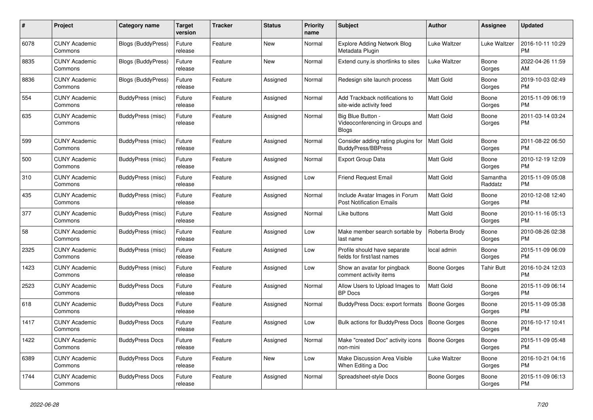| $\pmb{\#}$ | <b>Project</b>                  | Category name             | <b>Target</b><br>version | Tracker | <b>Status</b> | <b>Priority</b><br>name | <b>Subject</b>                                                       | <b>Author</b>       | <b>Assignee</b>     | <b>Updated</b>                |
|------------|---------------------------------|---------------------------|--------------------------|---------|---------------|-------------------------|----------------------------------------------------------------------|---------------------|---------------------|-------------------------------|
| 6078       | <b>CUNY Academic</b><br>Commons | <b>Blogs (BuddyPress)</b> | Future<br>release        | Feature | <b>New</b>    | Normal                  | <b>Explore Adding Network Blog</b><br>Metadata Plugin                | Luke Waltzer        | Luke Waltzer        | 2016-10-11 10:29<br><b>PM</b> |
| 8835       | <b>CUNY Academic</b><br>Commons | Blogs (BuddyPress)        | Future<br>release        | Feature | <b>New</b>    | Normal                  | Extend cuny is shortlinks to sites                                   | Luke Waltzer        | Boone<br>Gorges     | 2022-04-26 11:59<br>AM        |
| 8836       | <b>CUNY Academic</b><br>Commons | Blogs (BuddyPress)        | Future<br>release        | Feature | Assigned      | Normal                  | Redesign site launch process                                         | Matt Gold           | Boone<br>Gorges     | 2019-10-03 02:49<br><b>PM</b> |
| 554        | <b>CUNY Academic</b><br>Commons | BuddyPress (misc)         | Future<br>release        | Feature | Assigned      | Normal                  | Add Trackback notifications to<br>site-wide activity feed            | <b>Matt Gold</b>    | Boone<br>Gorges     | 2015-11-09 06:19<br><b>PM</b> |
| 635        | <b>CUNY Academic</b><br>Commons | BuddyPress (misc)         | Future<br>release        | Feature | Assigned      | Normal                  | Big Blue Button -<br>Videoconferencing in Groups and<br><b>Blogs</b> | Matt Gold           | Boone<br>Gorges     | 2011-03-14 03:24<br><b>PM</b> |
| 599        | <b>CUNY Academic</b><br>Commons | BuddyPress (misc)         | Future<br>release        | Feature | Assigned      | Normal                  | Consider adding rating plugins for<br><b>BuddyPress/BBPress</b>      | <b>Matt Gold</b>    | Boone<br>Gorges     | 2011-08-22 06:50<br><b>PM</b> |
| 500        | <b>CUNY Academic</b><br>Commons | BuddyPress (misc)         | Future<br>release        | Feature | Assigned      | Normal                  | Export Group Data                                                    | <b>Matt Gold</b>    | Boone<br>Gorges     | 2010-12-19 12:09<br><b>PM</b> |
| 310        | <b>CUNY Academic</b><br>Commons | BuddyPress (misc)         | Future<br>release        | Feature | Assigned      | Low                     | Friend Request Email                                                 | <b>Matt Gold</b>    | Samantha<br>Raddatz | 2015-11-09 05:08<br><b>PM</b> |
| 435        | <b>CUNY Academic</b><br>Commons | BuddyPress (misc)         | Future<br>release        | Feature | Assigned      | Normal                  | Include Avatar Images in Forum<br>Post Notification Emails           | <b>Matt Gold</b>    | Boone<br>Gorges     | 2010-12-08 12:40<br><b>PM</b> |
| 377        | <b>CUNY Academic</b><br>Commons | BuddyPress (misc)         | Future<br>release        | Feature | Assigned      | Normal                  | Like buttons                                                         | Matt Gold           | Boone<br>Gorges     | 2010-11-16 05:13<br><b>PM</b> |
| 58         | <b>CUNY Academic</b><br>Commons | BuddyPress (misc)         | Future<br>release        | Feature | Assigned      | Low                     | Make member search sortable by<br>last name                          | Roberta Brody       | Boone<br>Gorges     | 2010-08-26 02:38<br><b>PM</b> |
| 2325       | <b>CUNY Academic</b><br>Commons | BuddyPress (misc)         | Future<br>release        | Feature | Assigned      | Low                     | Profile should have separate<br>fields for first/last names          | local admin         | Boone<br>Gorges     | 2015-11-09 06:09<br><b>PM</b> |
| 1423       | <b>CUNY Academic</b><br>Commons | BuddyPress (misc)         | Future<br>release        | Feature | Assigned      | Low                     | Show an avatar for pingback<br>comment activity items                | Boone Gorges        | <b>Tahir Butt</b>   | 2016-10-24 12:03<br><b>PM</b> |
| 2523       | <b>CUNY Academic</b><br>Commons | <b>BuddyPress Docs</b>    | Future<br>release        | Feature | Assigned      | Normal                  | Allow Users to Upload Images to<br><b>BP</b> Docs                    | <b>Matt Gold</b>    | Boone<br>Gorges     | 2015-11-09 06:14<br><b>PM</b> |
| 618        | <b>CUNY Academic</b><br>Commons | <b>BuddyPress Docs</b>    | Future<br>release        | Feature | Assigned      | Normal                  | BuddyPress Docs: export formats                                      | Boone Gorges        | Boone<br>Gorges     | 2015-11-09 05:38<br><b>PM</b> |
| 1417       | <b>CUNY Academic</b><br>Commons | <b>BuddyPress Docs</b>    | Future<br>release        | Feature | Assigned      | Low                     | <b>Bulk actions for BuddyPress Docs</b>                              | <b>Boone Gorges</b> | Boone<br>Gorges     | 2016-10-17 10:41<br><b>PM</b> |
| 1422       | <b>CUNY Academic</b><br>Commons | <b>BuddyPress Docs</b>    | Future<br>release        | Feature | Assigned      | Normal                  | Make "created Doc" activity icons<br>non-mini                        | <b>Boone Gorges</b> | Boone<br>Gorges     | 2015-11-09 05:48<br><b>PM</b> |
| 6389       | <b>CUNY Academic</b><br>Commons | <b>BuddyPress Docs</b>    | Future<br>release        | Feature | <b>New</b>    | Low                     | Make Discussion Area Visible<br>When Editing a Doc                   | Luke Waltzer        | Boone<br>Gorges     | 2016-10-21 04:16<br><b>PM</b> |
| 1744       | <b>CUNY Academic</b><br>Commons | <b>BuddyPress Docs</b>    | Future<br>release        | Feature | Assigned      | Normal                  | Spreadsheet-style Docs                                               | Boone Gorges        | Boone<br>Gorges     | 2015-11-09 06:13<br><b>PM</b> |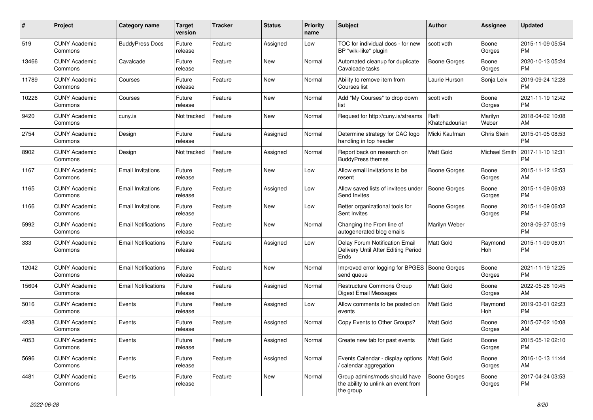| #     | Project                         | <b>Category name</b>       | <b>Target</b><br>version | <b>Tracker</b> | <b>Status</b> | <b>Priority</b><br>name | <b>Subject</b>                                                                    | Author                  | <b>Assignee</b>  | <b>Updated</b>                |
|-------|---------------------------------|----------------------------|--------------------------|----------------|---------------|-------------------------|-----------------------------------------------------------------------------------|-------------------------|------------------|-------------------------------|
| 519   | <b>CUNY Academic</b><br>Commons | <b>BuddyPress Docs</b>     | Future<br>release        | Feature        | Assigned      | Low                     | TOC for individual docs - for new<br>BP "wiki-like" plugin                        | scott voth              | Boone<br>Gorges  | 2015-11-09 05:54<br>PM        |
| 13466 | <b>CUNY Academic</b><br>Commons | Cavalcade                  | Future<br>release        | Feature        | <b>New</b>    | Normal                  | Automated cleanup for duplicate<br>Cavalcade tasks                                | <b>Boone Gorges</b>     | Boone<br>Gorges  | 2020-10-13 05:24<br><b>PM</b> |
| 11789 | <b>CUNY Academic</b><br>Commons | Courses                    | Future<br>release        | Feature        | <b>New</b>    | Normal                  | Ability to remove item from<br>Courses list                                       | Laurie Hurson           | Sonja Leix       | 2019-09-24 12:28<br><b>PM</b> |
| 10226 | <b>CUNY Academic</b><br>Commons | Courses                    | Future<br>release        | Feature        | <b>New</b>    | Normal                  | Add "My Courses" to drop down<br>list                                             | scott voth              | Boone<br>Gorges  | 2021-11-19 12:42<br><b>PM</b> |
| 9420  | <b>CUNY Academic</b><br>Commons | cuny.is                    | Not tracked              | Feature        | <b>New</b>    | Normal                  | Request for http://cuny.is/streams                                                | Raffi<br>Khatchadourian | Marilyn<br>Weber | 2018-04-02 10:08<br>AM        |
| 2754  | <b>CUNY Academic</b><br>Commons | Design                     | Future<br>release        | Feature        | Assigned      | Normal                  | Determine strategy for CAC logo<br>handling in top header                         | Micki Kaufman           | Chris Stein      | 2015-01-05 08:53<br><b>PM</b> |
| 8902  | <b>CUNY Academic</b><br>Commons | Design                     | Not tracked              | Feature        | Assigned      | Normal                  | Report back on research on<br><b>BuddyPress themes</b>                            | Matt Gold               | Michael Smith    | 2017-11-10 12:31<br><b>PM</b> |
| 1167  | <b>CUNY Academic</b><br>Commons | <b>Email Invitations</b>   | Future<br>release        | Feature        | <b>New</b>    | Low                     | Allow email invitations to be<br>resent                                           | <b>Boone Gorges</b>     | Boone<br>Gorges  | 2015-11-12 12:53<br>AM        |
| 1165  | <b>CUNY Academic</b><br>Commons | <b>Email Invitations</b>   | Future<br>release        | Feature        | Assigned      | Low                     | Allow saved lists of invitees under<br>Send Invites                               | <b>Boone Gorges</b>     | Boone<br>Gorges  | 2015-11-09 06:03<br><b>PM</b> |
| 1166  | <b>CUNY Academic</b><br>Commons | <b>Email Invitations</b>   | Future<br>release        | Feature        | <b>New</b>    | Low                     | Better organizational tools for<br>Sent Invites                                   | <b>Boone Gorges</b>     | Boone<br>Gorges  | 2015-11-09 06:02<br><b>PM</b> |
| 5992  | <b>CUNY Academic</b><br>Commons | <b>Email Notifications</b> | Future<br>release        | Feature        | <b>New</b>    | Normal                  | Changing the From line of<br>autogenerated blog emails                            | Marilyn Weber           |                  | 2018-09-27 05:19<br><b>PM</b> |
| 333   | <b>CUNY Academic</b><br>Commons | <b>Email Notifications</b> | Future<br>release        | Feature        | Assigned      | Low                     | Delay Forum Notification Email<br>Delivery Until After Editing Period<br>Ends     | Matt Gold               | Raymond<br>Hoh   | 2015-11-09 06:01<br><b>PM</b> |
| 12042 | <b>CUNY Academic</b><br>Commons | <b>Email Notifications</b> | Future<br>release        | Feature        | <b>New</b>    | Normal                  | Improved error logging for BPGES   Boone Gorges<br>send queue                     |                         | Boone<br>Gorges  | 2021-11-19 12:25<br><b>PM</b> |
| 15604 | <b>CUNY Academic</b><br>Commons | <b>Email Notifications</b> | Future<br>release        | Feature        | Assigned      | Normal                  | Restructure Commons Group<br><b>Digest Email Messages</b>                         | <b>Matt Gold</b>        | Boone<br>Gorges  | 2022-05-26 10:45<br>AM        |
| 5016  | <b>CUNY Academic</b><br>Commons | Events                     | Future<br>release        | Feature        | Assigned      | Low                     | Allow comments to be posted on<br>events                                          | Matt Gold               | Raymond<br>Hoh   | 2019-03-01 02:23<br><b>PM</b> |
| 4238  | <b>CUNY Academic</b><br>Commons | Events                     | Future<br>release        | Feature        | Assigned      | Normal                  | Copy Events to Other Groups?                                                      | Matt Gold               | Boone<br>Gorges  | 2015-07-02 10:08<br>AM        |
| 4053  | <b>CUNY Academic</b><br>Commons | Events                     | Future<br>release        | Feature        | Assigned      | Normal                  | Create new tab for past events                                                    | Matt Gold               | Boone<br>Gorges  | 2015-05-12 02:10<br><b>PM</b> |
| 5696  | <b>CUNY Academic</b><br>Commons | Events                     | Future<br>release        | Feature        | Assigned      | Normal                  | Events Calendar - display options<br>/ calendar aggregation                       | Matt Gold               | Boone<br>Gorges  | 2016-10-13 11:44<br>AM        |
| 4481  | <b>CUNY Academic</b><br>Commons | Events                     | Future<br>release        | Feature        | New           | Normal                  | Group admins/mods should have<br>the ability to unlink an event from<br>the group | <b>Boone Gorges</b>     | Boone<br>Gorges  | 2017-04-24 03:53<br>PM        |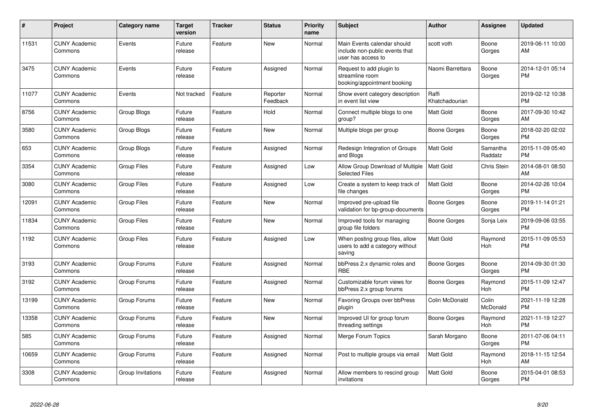| #     | <b>Project</b>                  | Category name      | <b>Target</b><br>version | <b>Tracker</b> | <b>Status</b>        | Priority<br>name | <b>Subject</b>                                                                      | <b>Author</b>           | <b>Assignee</b>     | <b>Updated</b>                |
|-------|---------------------------------|--------------------|--------------------------|----------------|----------------------|------------------|-------------------------------------------------------------------------------------|-------------------------|---------------------|-------------------------------|
| 11531 | <b>CUNY Academic</b><br>Commons | Events             | Future<br>release        | Feature        | <b>New</b>           | Normal           | Main Events calendar should<br>include non-public events that<br>user has access to | scott voth              | Boone<br>Gorges     | 2019-06-11 10:00<br>AM        |
| 3475  | <b>CUNY Academic</b><br>Commons | Events             | Future<br>release        | Feature        | Assigned             | Normal           | Request to add plugin to<br>streamline room<br>booking/appointment booking          | Naomi Barrettara        | Boone<br>Gorges     | 2014-12-01 05:14<br><b>PM</b> |
| 11077 | <b>CUNY Academic</b><br>Commons | Events             | Not tracked              | Feature        | Reporter<br>Feedback | Normal           | Show event category description<br>in event list view                               | Raffi<br>Khatchadourian |                     | 2019-02-12 10:38<br><b>PM</b> |
| 8756  | <b>CUNY Academic</b><br>Commons | Group Blogs        | Future<br>release        | Feature        | Hold                 | Normal           | Connect multiple blogs to one<br>group?                                             | Matt Gold               | Boone<br>Gorges     | 2017-09-30 10:42<br>AM        |
| 3580  | <b>CUNY Academic</b><br>Commons | Group Blogs        | Future<br>release        | Feature        | New                  | Normal           | Multiple blogs per group                                                            | Boone Gorges            | Boone<br>Gorges     | 2018-02-20 02:02<br><b>PM</b> |
| 653   | <b>CUNY Academic</b><br>Commons | Group Blogs        | Future<br>release        | Feature        | Assigned             | Normal           | Redesign Integration of Groups<br>and Blogs                                         | Matt Gold               | Samantha<br>Raddatz | 2015-11-09 05:40<br><b>PM</b> |
| 3354  | <b>CUNY Academic</b><br>Commons | <b>Group Files</b> | Future<br>release        | Feature        | Assigned             | Low              | Allow Group Download of Multiple<br><b>Selected Files</b>                           | Matt Gold               | Chris Stein         | 2014-08-01 08:50<br>AM        |
| 3080  | <b>CUNY Academic</b><br>Commons | <b>Group Files</b> | Future<br>release        | Feature        | Assigned             | Low              | Create a system to keep track of<br>file changes                                    | Matt Gold               | Boone<br>Gorges     | 2014-02-26 10:04<br><b>PM</b> |
| 12091 | <b>CUNY Academic</b><br>Commons | <b>Group Files</b> | Future<br>release        | Feature        | New                  | Normal           | Improved pre-upload file<br>validation for bp-group-documents                       | Boone Gorges            | Boone<br>Gorges     | 2019-11-14 01:21<br><b>PM</b> |
| 11834 | <b>CUNY Academic</b><br>Commons | <b>Group Files</b> | Future<br>release        | Feature        | New                  | Normal           | Improved tools for managing<br>group file folders                                   | Boone Gorges            | Sonja Leix          | 2019-09-06 03:55<br><b>PM</b> |
| 1192  | <b>CUNY Academic</b><br>Commons | <b>Group Files</b> | Future<br>release        | Feature        | Assigned             | Low              | When posting group files, allow<br>users to add a category without<br>saving        | Matt Gold               | Raymond<br>Hoh      | 2015-11-09 05:53<br><b>PM</b> |
| 3193  | <b>CUNY Academic</b><br>Commons | Group Forums       | Future<br>release        | Feature        | Assigned             | Normal           | bbPress 2.x dynamic roles and<br><b>RBE</b>                                         | Boone Gorges            | Boone<br>Gorges     | 2014-09-30 01:30<br><b>PM</b> |
| 3192  | <b>CUNY Academic</b><br>Commons | Group Forums       | Future<br>release        | Feature        | Assigned             | Normal           | Customizable forum views for<br>bbPress 2.x group forums                            | Boone Gorges            | Raymond<br>Hoh      | 2015-11-09 12:47<br><b>PM</b> |
| 13199 | <b>CUNY Academic</b><br>Commons | Group Forums       | Future<br>release        | Feature        | New                  | Normal           | Favoring Groups over bbPress<br>plugin                                              | Colin McDonald          | Colin<br>McDonald   | 2021-11-19 12:28<br><b>PM</b> |
| 13358 | <b>CUNY Academic</b><br>Commons | Group Forums       | Future<br>release        | Feature        | New                  | Normal           | Improved UI for group forum<br>threading settings                                   | Boone Gorges            | Raymond<br>Hoh      | 2021-11-19 12:27<br><b>PM</b> |
| 585   | <b>CUNY Academic</b><br>Commons | Group Forums       | Future<br>release        | Feature        | Assigned             | Normal           | Merge Forum Topics                                                                  | Sarah Morgano           | Boone<br>Gorges     | 2011-07-06 04:11<br><b>PM</b> |
| 10659 | <b>CUNY Academic</b><br>Commons | Group Forums       | Future<br>release        | Feature        | Assigned             | Normal           | Post to multiple groups via email                                                   | Matt Gold               | Raymond<br>Hoh      | 2018-11-15 12:54<br>AM        |
| 3308  | <b>CUNY Academic</b><br>Commons | Group Invitations  | Future<br>release        | Feature        | Assigned             | Normal           | Allow members to rescind group<br>invitations                                       | Matt Gold               | Boone<br>Gorges     | 2015-04-01 08:53<br><b>PM</b> |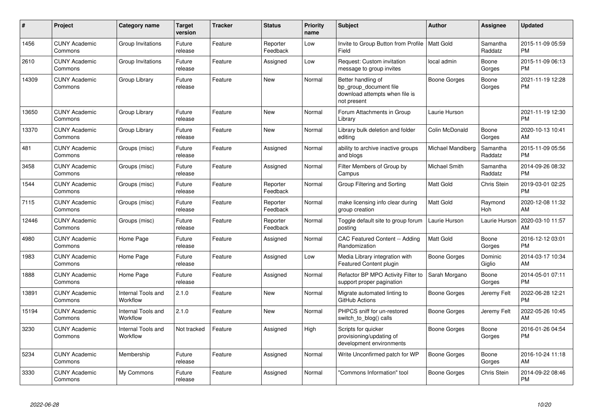| #     | <b>Project</b>                  | <b>Category name</b>           | <b>Target</b><br>version | Tracker | <b>Status</b>        | Priority<br>name | <b>Subject</b>                                                                                | Author            | Assignee            | <b>Updated</b>                |
|-------|---------------------------------|--------------------------------|--------------------------|---------|----------------------|------------------|-----------------------------------------------------------------------------------------------|-------------------|---------------------|-------------------------------|
| 1456  | <b>CUNY Academic</b><br>Commons | Group Invitations              | Future<br>release        | Feature | Reporter<br>Feedback | Low              | Invite to Group Button from Profile   Matt Gold<br>Field                                      |                   | Samantha<br>Raddatz | 2015-11-09 05:59<br><b>PM</b> |
| 2610  | <b>CUNY Academic</b><br>Commons | Group Invitations              | Future<br>release        | Feature | Assigned             | Low              | Request: Custom invitation<br>message to group invites                                        | local admin       | Boone<br>Gorges     | 2015-11-09 06:13<br><b>PM</b> |
| 14309 | <b>CUNY Academic</b><br>Commons | Group Library                  | Future<br>release        | Feature | <b>New</b>           | Normal           | Better handling of<br>bp group document file<br>download attempts when file is<br>not present | Boone Gorges      | Boone<br>Gorges     | 2021-11-19 12:28<br><b>PM</b> |
| 13650 | <b>CUNY Academic</b><br>Commons | Group Library                  | Future<br>release        | Feature | <b>New</b>           | Normal           | Forum Attachments in Group<br>Library                                                         | Laurie Hurson     |                     | 2021-11-19 12:30<br><b>PM</b> |
| 13370 | <b>CUNY Academic</b><br>Commons | Group Library                  | Future<br>release        | Feature | <b>New</b>           | Normal           | Library bulk deletion and folder<br>editing                                                   | Colin McDonald    | Boone<br>Gorges     | 2020-10-13 10:41<br>AM        |
| 481   | <b>CUNY Academic</b><br>Commons | Groups (misc)                  | Future<br>release        | Feature | Assigned             | Normal           | ability to archive inactive groups<br>and blogs                                               | Michael Mandiberg | Samantha<br>Raddatz | 2015-11-09 05:56<br><b>PM</b> |
| 3458  | <b>CUNY Academic</b><br>Commons | Groups (misc)                  | Future<br>release        | Feature | Assigned             | Normal           | Filter Members of Group by<br>Campus                                                          | Michael Smith     | Samantha<br>Raddatz | 2014-09-26 08:32<br><b>PM</b> |
| 1544  | <b>CUNY Academic</b><br>Commons | Groups (misc)                  | Future<br>release        | Feature | Reporter<br>Feedback | Normal           | Group Filtering and Sorting                                                                   | Matt Gold         | Chris Stein         | 2019-03-01 02:25<br><b>PM</b> |
| 7115  | <b>CUNY Academic</b><br>Commons | Groups (misc)                  | Future<br>release        | Feature | Reporter<br>Feedback | Normal           | make licensing info clear during<br>group creation                                            | Matt Gold         | Raymond<br>Hoh      | 2020-12-08 11:32<br>AM        |
| 12446 | <b>CUNY Academic</b><br>Commons | Groups (misc)                  | Future<br>release        | Feature | Reporter<br>Feedback | Normal           | Toggle default site to group forum<br>posting                                                 | Laurie Hurson     | Laurie Hurson       | 2020-03-10 11:57<br>AM        |
| 4980  | <b>CUNY Academic</b><br>Commons | Home Page                      | Future<br>release        | Feature | Assigned             | Normal           | CAC Featured Content -- Adding<br>Randomization                                               | Matt Gold         | Boone<br>Gorges     | 2016-12-12 03:01<br><b>PM</b> |
| 1983  | <b>CUNY Academic</b><br>Commons | Home Page                      | Future<br>release        | Feature | Assigned             | Low              | Media Library integration with<br><b>Featured Content plugin</b>                              | Boone Gorges      | Dominic<br>Giglio   | 2014-03-17 10:34<br>AM        |
| 1888  | <b>CUNY Academic</b><br>Commons | Home Page                      | Future<br>release        | Feature | Assigned             | Normal           | Refactor BP MPO Activity Filter to<br>support proper pagination                               | Sarah Morgano     | Boone<br>Gorges     | 2014-05-01 07:11<br><b>PM</b> |
| 13891 | <b>CUNY Academic</b><br>Commons | Internal Tools and<br>Workflow | 2.1.0                    | Feature | <b>New</b>           | Normal           | Migrate automated linting to<br>GitHub Actions                                                | Boone Gorges      | Jeremy Felt         | 2022-06-28 12:21<br><b>PM</b> |
| 15194 | <b>CUNY Academic</b><br>Commons | Internal Tools and<br>Workflow | 2.1.0                    | Feature | <b>New</b>           | Normal           | PHPCS sniff for un-restored<br>switch_to_blog() calls                                         | Boone Gorges      | Jeremy Felt         | 2022-05-26 10:45<br>AM        |
| 3230  | <b>CUNY Academic</b><br>Commons | Internal Tools and<br>Workflow | Not tracked              | Feature | Assigned             | High             | Scripts for quicker<br>provisioning/updating of<br>development environments                   | Boone Gorges      | Boone<br>Gorges     | 2016-01-26 04:54<br><b>PM</b> |
| 5234  | <b>CUNY Academic</b><br>Commons | Membership                     | Future<br>release        | Feature | Assigned             | Normal           | Write Unconfirmed patch for WP                                                                | Boone Gorges      | Boone<br>Gorges     | 2016-10-24 11:18<br>AM        |
| 3330  | <b>CUNY Academic</b><br>Commons | My Commons                     | Future<br>release        | Feature | Assigned             | Normal           | "Commons Information" tool                                                                    | Boone Gorges      | Chris Stein         | 2014-09-22 08:46<br><b>PM</b> |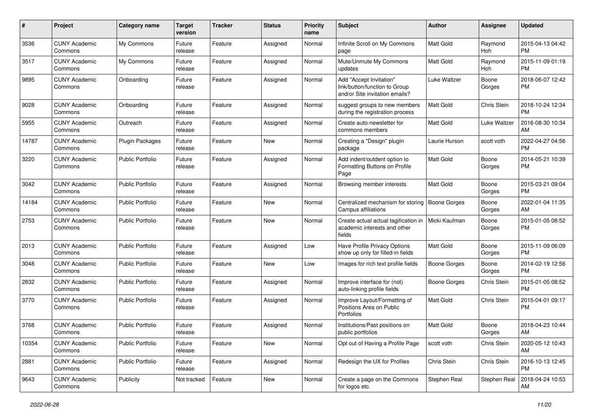| #     | Project                         | <b>Category name</b>    | <b>Target</b><br>version | <b>Tracker</b> | <b>Status</b> | <b>Priority</b><br>name | <b>Subject</b>                                                                             | Author              | <b>Assignee</b>     | <b>Updated</b>                |
|-------|---------------------------------|-------------------------|--------------------------|----------------|---------------|-------------------------|--------------------------------------------------------------------------------------------|---------------------|---------------------|-------------------------------|
| 3536  | <b>CUNY Academic</b><br>Commons | My Commons              | Future<br>release        | Feature        | Assigned      | Normal                  | Infinite Scroll on My Commons<br>page                                                      | Matt Gold           | Raymond<br>Hoh      | 2015-04-13 04:42<br><b>PM</b> |
| 3517  | <b>CUNY Academic</b><br>Commons | My Commons              | Future<br>release        | Feature        | Assigned      | Normal                  | Mute/Unmute My Commons<br>updates                                                          | Matt Gold           | Raymond<br>Hoh      | 2015-11-09 01:19<br>РM        |
| 9895  | <b>CUNY Academic</b><br>Commons | Onboarding              | Future<br>release        | Feature        | Assigned      | Normal                  | Add "Accept Invitation"<br>link/button/function to Group<br>and/or Site invitation emails? | Luke Waltzer        | Boone<br>Gorges     | 2018-06-07 12:42<br><b>PM</b> |
| 9028  | <b>CUNY Academic</b><br>Commons | Onboarding              | Future<br>release        | Feature        | Assigned      | Normal                  | suggest groups to new members<br>during the registration process                           | Matt Gold           | Chris Stein         | 2018-10-24 12:34<br><b>PM</b> |
| 5955  | <b>CUNY Academic</b><br>Commons | Outreach                | Future<br>release        | Feature        | Assigned      | Normal                  | Create auto-newsletter for<br>commons members                                              | Matt Gold           | <b>Luke Waltzer</b> | 2016-08-30 10:34<br>AM        |
| 14787 | <b>CUNY Academic</b><br>Commons | <b>Plugin Packages</b>  | Future<br>release        | Feature        | <b>New</b>    | Normal                  | Creating a "Design" plugin<br>package                                                      | Laurie Hurson       | scott voth          | 2022-04-27 04:56<br><b>PM</b> |
| 3220  | <b>CUNY Academic</b><br>Commons | <b>Public Portfolio</b> | Future<br>release        | Feature        | Assigned      | Normal                  | Add indent/outdent option to<br>Formatting Buttons on Profile<br>Page                      | Matt Gold           | Boone<br>Gorges     | 2014-05-21 10:39<br>РM        |
| 3042  | <b>CUNY Academic</b><br>Commons | Public Portfolio        | Future<br>release        | Feature        | Assigned      | Normal                  | Browsing member interests                                                                  | Matt Gold           | Boone<br>Gorges     | 2015-03-21 09:04<br><b>PM</b> |
| 14184 | <b>CUNY Academic</b><br>Commons | <b>Public Portfolio</b> | Future<br>release        | Feature        | New           | Normal                  | Centralized mechanism for storing<br>Campus affiliations                                   | Boone Gorges        | Boone<br>Gorges     | 2022-01-04 11:35<br>AM        |
| 2753  | <b>CUNY Academic</b><br>Commons | <b>Public Portfolio</b> | Future<br>release        | Feature        | New           | Normal                  | Create actual actual tagification in<br>academic interests and other<br>fields             | Micki Kaufman       | Boone<br>Gorges     | 2015-01-05 08:52<br>PM        |
| 2013  | <b>CUNY Academic</b><br>Commons | <b>Public Portfolio</b> | Future<br>release        | Feature        | Assigned      | Low                     | Have Profile Privacy Options<br>show up only for filled-in fields                          | Matt Gold           | Boone<br>Gorges     | 2015-11-09 06:09<br>PM        |
| 3048  | <b>CUNY Academic</b><br>Commons | <b>Public Portfolio</b> | Future<br>release        | Feature        | New           | Low                     | Images for rich text profile fields                                                        | <b>Boone Gorges</b> | Boone<br>Gorges     | 2014-02-19 12:56<br><b>PM</b> |
| 2832  | <b>CUNY Academic</b><br>Commons | <b>Public Portfolio</b> | Future<br>release        | Feature        | Assigned      | Normal                  | Improve interface for (not)<br>auto-linking profile fields                                 | <b>Boone Gorges</b> | Chris Stein         | 2015-01-05 08:52<br>PM        |
| 3770  | <b>CUNY Academic</b><br>Commons | <b>Public Portfolio</b> | Future<br>release        | Feature        | Assigned      | Normal                  | Improve Layout/Formatting of<br>Positions Area on Public<br>Portfolios                     | Matt Gold           | Chris Stein         | 2015-04-01 09:17<br><b>PM</b> |
| 3768  | <b>CUNY Academic</b><br>Commons | <b>Public Portfolio</b> | Future<br>release        | Feature        | Assigned      | Normal                  | Institutions/Past positions on<br>public portfolios                                        | Matt Gold           | Boone<br>Gorges     | 2018-04-23 10:44<br>AM        |
| 10354 | <b>CUNY Academic</b><br>Commons | Public Portfolio        | Future<br>release        | Feature        | New           | Normal                  | Opt out of Having a Profile Page                                                           | scott voth          | Chris Stein         | 2020-05-12 10:43<br>AM        |
| 2881  | <b>CUNY Academic</b><br>Commons | Public Portfolio        | Future<br>release        | Feature        | Assigned      | Normal                  | Redesign the UX for Profiles                                                               | Chris Stein         | Chris Stein         | 2016-10-13 12:45<br><b>PM</b> |
| 9643  | <b>CUNY Academic</b><br>Commons | Publicity               | Not tracked              | Feature        | New           | Normal                  | Create a page on the Commons<br>for logos etc.                                             | Stephen Real        | Stephen Real        | 2018-04-24 10:53<br>AM        |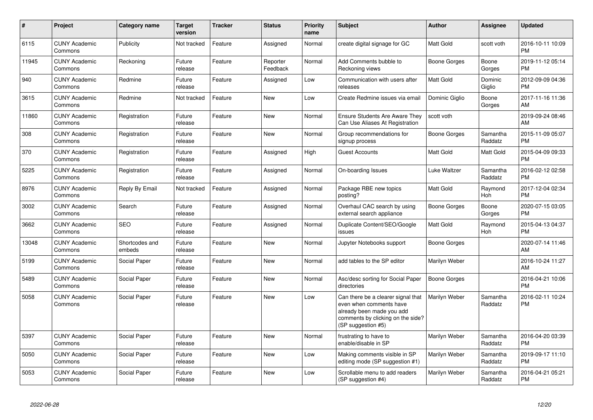| $\#$  | Project                         | Category name            | <b>Target</b><br>version | <b>Tracker</b> | <b>Status</b>        | <b>Priority</b><br>name | <b>Subject</b>                                                                                                                                        | Author              | Assignee              | <b>Updated</b>                |
|-------|---------------------------------|--------------------------|--------------------------|----------------|----------------------|-------------------------|-------------------------------------------------------------------------------------------------------------------------------------------------------|---------------------|-----------------------|-------------------------------|
| 6115  | <b>CUNY Academic</b><br>Commons | Publicity                | Not tracked              | Feature        | Assigned             | Normal                  | create digital signage for GC                                                                                                                         | <b>Matt Gold</b>    | scott voth            | 2016-10-11 10:09<br><b>PM</b> |
| 11945 | <b>CUNY Academic</b><br>Commons | Reckoning                | Future<br>release        | Feature        | Reporter<br>Feedback | Normal                  | Add Comments bubble to<br>Reckoning views                                                                                                             | <b>Boone Gorges</b> | Boone<br>Gorges       | 2019-11-12 05:14<br><b>PM</b> |
| 940   | <b>CUNY Academic</b><br>Commons | Redmine                  | Future<br>release        | Feature        | Assigned             | Low                     | Communication with users after<br>releases                                                                                                            | <b>Matt Gold</b>    | Dominic<br>Giglio     | 2012-09-09 04:36<br><b>PM</b> |
| 3615  | <b>CUNY Academic</b><br>Commons | Redmine                  | Not tracked              | Feature        | <b>New</b>           | Low                     | Create Redmine issues via email                                                                                                                       | Dominic Giglio      | Boone<br>Gorges       | 2017-11-16 11:36<br>AM        |
| 11860 | <b>CUNY Academic</b><br>Commons | Registration             | Future<br>release        | Feature        | <b>New</b>           | Normal                  | <b>Ensure Students Are Aware They</b><br>Can Use Aliases At Registration                                                                              | scott voth          |                       | 2019-09-24 08:46<br>AM        |
| 308   | <b>CUNY Academic</b><br>Commons | Registration             | Future<br>release        | Feature        | <b>New</b>           | Normal                  | Group recommendations for<br>signup process                                                                                                           | Boone Gorges        | Samantha<br>Raddatz   | 2015-11-09 05:07<br><b>PM</b> |
| 370   | <b>CUNY Academic</b><br>Commons | Registration             | Future<br>release        | Feature        | Assigned             | High                    | <b>Guest Accounts</b>                                                                                                                                 | Matt Gold           | Matt Gold             | 2015-04-09 09:33<br><b>PM</b> |
| 5225  | <b>CUNY Academic</b><br>Commons | Registration             | Future<br>release        | Feature        | Assigned             | Normal                  | On-boarding Issues                                                                                                                                    | Luke Waltzer        | Samantha<br>Raddatz   | 2016-02-12 02:58<br><b>PM</b> |
| 8976  | <b>CUNY Academic</b><br>Commons | Reply By Email           | Not tracked              | Feature        | Assigned             | Normal                  | Package RBE new topics<br>posting?                                                                                                                    | <b>Matt Gold</b>    | Raymond<br><b>Hoh</b> | 2017-12-04 02:34<br><b>PM</b> |
| 3002  | <b>CUNY Academic</b><br>Commons | Search                   | Future<br>release        | Feature        | Assigned             | Normal                  | Overhaul CAC search by using<br>external search appliance                                                                                             | Boone Gorges        | Boone<br>Gorges       | 2020-07-15 03:05<br><b>PM</b> |
| 3662  | <b>CUNY Academic</b><br>Commons | <b>SEO</b>               | Future<br>release        | Feature        | Assigned             | Normal                  | Duplicate Content/SEO/Google<br>issues                                                                                                                | <b>Matt Gold</b>    | Raymond<br>Hoh        | 2015-04-13 04:37<br><b>PM</b> |
| 13048 | <b>CUNY Academic</b><br>Commons | Shortcodes and<br>embeds | Future<br>release        | Feature        | <b>New</b>           | Normal                  | Jupyter Notebooks support                                                                                                                             | Boone Gorges        |                       | 2020-07-14 11:46<br>AM        |
| 5199  | <b>CUNY Academic</b><br>Commons | Social Paper             | Future<br>release        | Feature        | <b>New</b>           | Normal                  | add tables to the SP editor                                                                                                                           | Marilyn Weber       |                       | 2016-10-24 11:27<br>AM        |
| 5489  | <b>CUNY Academic</b><br>Commons | Social Paper             | Future<br>release        | Feature        | <b>New</b>           | Normal                  | Asc/desc sorting for Social Paper<br>directories                                                                                                      | <b>Boone Gorges</b> |                       | 2016-04-21 10:06<br><b>PM</b> |
| 5058  | <b>CUNY Academic</b><br>Commons | Social Paper             | Future<br>release        | Feature        | <b>New</b>           | Low                     | Can there be a clearer signal that<br>even when comments have<br>already been made you add<br>comments by clicking on the side?<br>(SP suggestion #5) | Marilyn Weber       | Samantha<br>Raddatz   | 2016-02-11 10:24<br><b>PM</b> |
| 5397  | <b>CUNY Academic</b><br>Commons | Social Paper             | Future<br>release        | Feature        | <b>New</b>           | Normal                  | frustrating to have to<br>enable/disable in SP                                                                                                        | Marilyn Weber       | Samantha<br>Raddatz   | 2016-04-20 03:39<br><b>PM</b> |
| 5050  | <b>CUNY Academic</b><br>Commons | Social Paper             | Future<br>release        | Feature        | <b>New</b>           | Low                     | Making comments visible in SP<br>editing mode (SP suggestion #1)                                                                                      | Marilyn Weber       | Samantha<br>Raddatz   | 2019-09-17 11:10<br><b>PM</b> |
| 5053  | <b>CUNY Academic</b><br>Commons | Social Paper             | Future<br>release        | Feature        | <b>New</b>           | Low                     | Scrollable menu to add readers<br>(SP suggestion #4)                                                                                                  | Marilyn Weber       | Samantha<br>Raddatz   | 2016-04-21 05:21<br>PM        |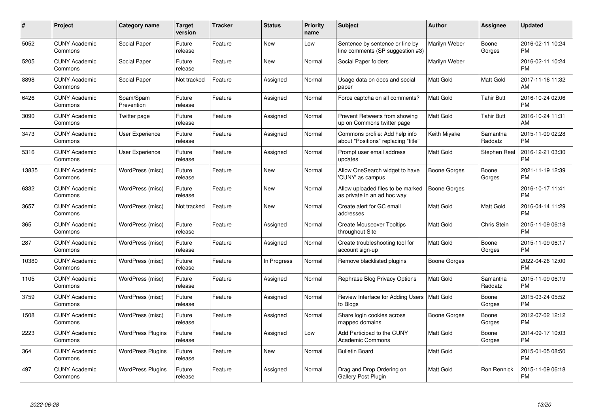| #     | Project                         | Category name            | Target<br>version | <b>Tracker</b> | <b>Status</b> | <b>Priority</b><br>name | <b>Subject</b>                                                        | Author              | <b>Assignee</b>     | <b>Updated</b>                |
|-------|---------------------------------|--------------------------|-------------------|----------------|---------------|-------------------------|-----------------------------------------------------------------------|---------------------|---------------------|-------------------------------|
| 5052  | <b>CUNY Academic</b><br>Commons | <b>Social Paper</b>      | Future<br>release | Feature        | <b>New</b>    | Low                     | Sentence by sentence or line by<br>line comments (SP suggestion #3)   | Marilyn Weber       | Boone<br>Gorges     | 2016-02-11 10:24<br><b>PM</b> |
| 5205  | <b>CUNY Academic</b><br>Commons | Social Paper             | Future<br>release | Feature        | <b>New</b>    | Normal                  | Social Paper folders                                                  | Marilyn Weber       |                     | 2016-02-11 10:24<br><b>PM</b> |
| 8898  | <b>CUNY Academic</b><br>Commons | <b>Social Paper</b>      | Not tracked       | Feature        | Assigned      | Normal                  | Usage data on docs and social<br>paper                                | <b>Matt Gold</b>    | Matt Gold           | 2017-11-16 11:32<br>AM        |
| 6426  | <b>CUNY Academic</b><br>Commons | Spam/Spam<br>Prevention  | Future<br>release | Feature        | Assigned      | Normal                  | Force captcha on all comments?                                        | <b>Matt Gold</b>    | Tahir Butt          | 2016-10-24 02:06<br><b>PM</b> |
| 3090  | <b>CUNY Academic</b><br>Commons | Twitter page             | Future<br>release | Feature        | Assigned      | Normal                  | Prevent Retweets from showing<br>up on Commons twitter page           | <b>Matt Gold</b>    | <b>Tahir Butt</b>   | 2016-10-24 11:31<br>AM        |
| 3473  | <b>CUNY Academic</b><br>Commons | <b>User Experience</b>   | Future<br>release | Feature        | Assigned      | Normal                  | Commons profile: Add help info<br>about "Positions" replacing "title" | Keith Miyake        | Samantha<br>Raddatz | 2015-11-09 02:28<br><b>PM</b> |
| 5316  | <b>CUNY Academic</b><br>Commons | <b>User Experience</b>   | Future<br>release | Feature        | Assigned      | Normal                  | Prompt user email address<br>updates                                  | <b>Matt Gold</b>    | <b>Stephen Real</b> | 2016-12-21 03:30<br><b>PM</b> |
| 13835 | <b>CUNY Academic</b><br>Commons | WordPress (misc)         | Future<br>release | Feature        | New           | Normal                  | Allow OneSearch widget to have<br>'CUNY' as campus                    | Boone Gorges        | Boone<br>Gorges     | 2021-11-19 12:39<br><b>PM</b> |
| 6332  | <b>CUNY Academic</b><br>Commons | WordPress (misc)         | Future<br>release | Feature        | <b>New</b>    | Normal                  | Allow uploaded files to be marked<br>as private in an ad hoc way      | <b>Boone Gorges</b> |                     | 2016-10-17 11:41<br><b>PM</b> |
| 3657  | <b>CUNY Academic</b><br>Commons | WordPress (misc)         | Not tracked       | Feature        | <b>New</b>    | Normal                  | Create alert for GC email<br>addresses                                | <b>Matt Gold</b>    | Matt Gold           | 2016-04-14 11:29<br><b>PM</b> |
| 365   | <b>CUNY Academic</b><br>Commons | WordPress (misc)         | Future<br>release | Feature        | Assigned      | Normal                  | <b>Create Mouseover Tooltips</b><br>throughout Site                   | Matt Gold           | Chris Stein         | 2015-11-09 06:18<br><b>PM</b> |
| 287   | <b>CUNY Academic</b><br>Commons | WordPress (misc)         | Future<br>release | Feature        | Assigned      | Normal                  | Create troubleshooting tool for<br>account sign-up                    | <b>Matt Gold</b>    | Boone<br>Gorges     | 2015-11-09 06:17<br><b>PM</b> |
| 10380 | <b>CUNY Academic</b><br>Commons | WordPress (misc)         | Future<br>release | Feature        | In Progress   | Normal                  | Remove blacklisted plugins                                            | Boone Gorges        |                     | 2022-04-26 12:00<br><b>PM</b> |
| 1105  | <b>CUNY Academic</b><br>Commons | WordPress (misc)         | Future<br>release | Feature        | Assigned      | Normal                  | Rephrase Blog Privacy Options                                         | <b>Matt Gold</b>    | Samantha<br>Raddatz | 2015-11-09 06:19<br><b>PM</b> |
| 3759  | <b>CUNY Academic</b><br>Commons | WordPress (misc)         | Future<br>release | Feature        | Assigned      | Normal                  | Review Interface for Adding Users   Matt Gold<br>to Blogs             |                     | Boone<br>Gorges     | 2015-03-24 05:52<br><b>PM</b> |
| 1508  | <b>CUNY Academic</b><br>Commons | WordPress (misc)         | Future<br>release | Feature        | Assigned      | Normal                  | Share login cookies across<br>mapped domains                          | Boone Gorges        | Boone<br>Gorges     | 2012-07-02 12:12<br><b>PM</b> |
| 2223  | <b>CUNY Academic</b><br>Commons | <b>WordPress Plugins</b> | Future<br>release | Feature        | Assigned      | Low                     | Add Participad to the CUNY<br><b>Academic Commons</b>                 | <b>Matt Gold</b>    | Boone<br>Gorges     | 2014-09-17 10:03<br><b>PM</b> |
| 364   | <b>CUNY Academic</b><br>Commons | <b>WordPress Plugins</b> | Future<br>release | Feature        | <b>New</b>    | Normal                  | <b>Bulletin Board</b>                                                 | <b>Matt Gold</b>    |                     | 2015-01-05 08:50<br><b>PM</b> |
| 497   | <b>CUNY Academic</b><br>Commons | <b>WordPress Plugins</b> | Future<br>release | Feature        | Assigned      | Normal                  | Drag and Drop Ordering on<br><b>Gallery Post Plugin</b>               | Matt Gold           | Ron Rennick         | 2015-11-09 06:18<br><b>PM</b> |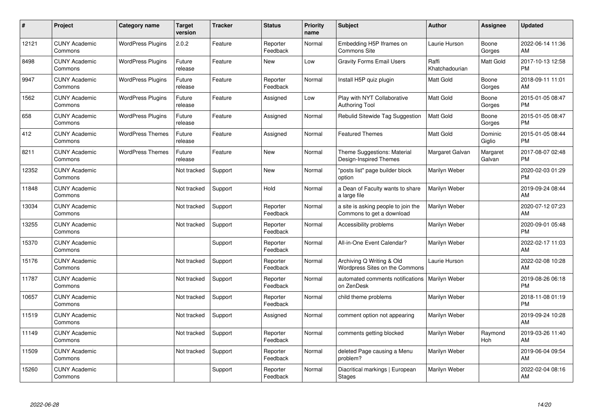| $\pmb{\#}$ | Project                         | <b>Category name</b>     | <b>Target</b><br>version | <b>Tracker</b> | <b>Status</b>        | <b>Priority</b><br>name | <b>Subject</b>                                                   | Author                  | <b>Assignee</b>       | <b>Updated</b>                |
|------------|---------------------------------|--------------------------|--------------------------|----------------|----------------------|-------------------------|------------------------------------------------------------------|-------------------------|-----------------------|-------------------------------|
| 12121      | <b>CUNY Academic</b><br>Commons | <b>WordPress Plugins</b> | 2.0.2                    | Feature        | Reporter<br>Feedback | Normal                  | Embedding H5P Iframes on<br>Commons Site                         | Laurie Hurson           | Boone<br>Gorges       | 2022-06-14 11:36<br>AM        |
| 8498       | <b>CUNY Academic</b><br>Commons | <b>WordPress Plugins</b> | Future<br>release        | Feature        | <b>New</b>           | Low                     | <b>Gravity Forms Email Users</b>                                 | Raffi<br>Khatchadourian | Matt Gold             | 2017-10-13 12:58<br><b>PM</b> |
| 9947       | <b>CUNY Academic</b><br>Commons | <b>WordPress Plugins</b> | Future<br>release        | Feature        | Reporter<br>Feedback | Normal                  | Install H5P quiz plugin                                          | Matt Gold               | Boone<br>Gorges       | 2018-09-11 11:01<br>AM        |
| 1562       | <b>CUNY Academic</b><br>Commons | <b>WordPress Plugins</b> | Future<br>release        | Feature        | Assigned             | Low                     | Play with NYT Collaborative<br><b>Authoring Tool</b>             | Matt Gold               | Boone<br>Gorges       | 2015-01-05 08:47<br><b>PM</b> |
| 658        | <b>CUNY Academic</b><br>Commons | <b>WordPress Plugins</b> | Future<br>release        | Feature        | Assigned             | Normal                  | Rebulid Sitewide Tag Suggestion                                  | <b>Matt Gold</b>        | Boone<br>Gorges       | 2015-01-05 08:47<br><b>PM</b> |
| 412        | <b>CUNY Academic</b><br>Commons | <b>WordPress Themes</b>  | Future<br>release        | Feature        | Assigned             | Normal                  | <b>Featured Themes</b>                                           | Matt Gold               | Dominic<br>Giglio     | 2015-01-05 08:44<br>PM        |
| 8211       | <b>CUNY Academic</b><br>Commons | <b>WordPress Themes</b>  | Future<br>release        | Feature        | <b>New</b>           | Normal                  | Theme Suggestions: Material<br>Design-Inspired Themes            | Margaret Galvan         | Margaret<br>Galvan    | 2017-08-07 02:48<br><b>PM</b> |
| 12352      | <b>CUNY Academic</b><br>Commons |                          | Not tracked              | Support        | <b>New</b>           | Normal                  | 'posts list" page builder block<br>option                        | Marilyn Weber           |                       | 2020-02-03 01:29<br><b>PM</b> |
| 11848      | <b>CUNY Academic</b><br>Commons |                          | Not tracked              | Support        | Hold                 | Normal                  | a Dean of Faculty wants to share<br>a large file                 | Marilyn Weber           |                       | 2019-09-24 08:44<br>AM        |
| 13034      | <b>CUNY Academic</b><br>Commons |                          | Not tracked              | Support        | Reporter<br>Feedback | Normal                  | a site is asking people to join the<br>Commons to get a download | Marilyn Weber           |                       | 2020-07-12 07:23<br>AM        |
| 13255      | <b>CUNY Academic</b><br>Commons |                          | Not tracked              | Support        | Reporter<br>Feedback | Normal                  | Accessibility problems                                           | Marilyn Weber           |                       | 2020-09-01 05:48<br><b>PM</b> |
| 15370      | <b>CUNY Academic</b><br>Commons |                          |                          | Support        | Reporter<br>Feedback | Normal                  | All-in-One Event Calendar?                                       | Marilyn Weber           |                       | 2022-02-17 11:03<br>AM        |
| 15176      | <b>CUNY Academic</b><br>Commons |                          | Not tracked              | Support        | Reporter<br>Feedback | Normal                  | Archiving Q Writing & Old<br>Wordpress Sites on the Commons      | Laurie Hurson           |                       | 2022-02-08 10:28<br>AM        |
| 11787      | <b>CUNY Academic</b><br>Commons |                          | Not tracked              | Support        | Reporter<br>Feedback | Normal                  | automated comments notifications   Marilyn Weber<br>on ZenDesk   |                         |                       | 2019-08-26 06:18<br><b>PM</b> |
| 10657      | <b>CUNY Academic</b><br>Commons |                          | Not tracked              | Support        | Reporter<br>Feedback | Normal                  | child theme problems                                             | Marilyn Weber           |                       | 2018-11-08 01:19<br><b>PM</b> |
| 11519      | <b>CUNY Academic</b><br>Commons |                          | Not tracked              | Support        | Assigned             | Normal                  | comment option not appearing                                     | Marilyn Weber           |                       | 2019-09-24 10:28<br>AM        |
| 11149      | <b>CUNY Academic</b><br>Commons |                          | Not tracked              | Support        | Reporter<br>Feedback | Normal                  | comments getting blocked                                         | Marilyn Weber           | Raymond<br><b>Hoh</b> | 2019-03-26 11:40<br>AM        |
| 11509      | <b>CUNY Academic</b><br>Commons |                          | Not tracked              | Support        | Reporter<br>Feedback | Normal                  | deleted Page causing a Menu<br>problem?                          | Marilyn Weber           |                       | 2019-06-04 09:54<br>AM        |
| 15260      | <b>CUNY Academic</b><br>Commons |                          |                          | Support        | Reporter<br>Feedback | Normal                  | Diacritical markings   European<br>Stages                        | Marilyn Weber           |                       | 2022-02-04 08:16<br>AM        |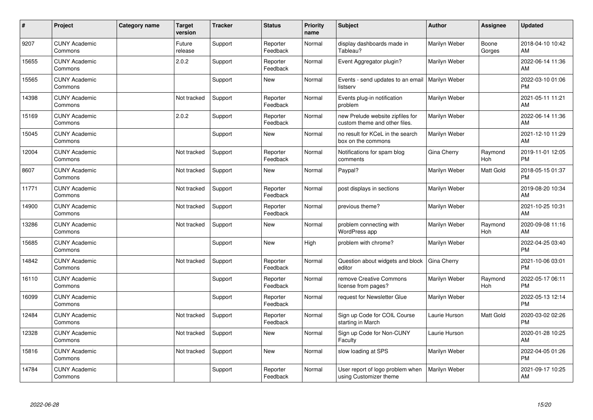| #     | Project                         | Category name | <b>Target</b><br>version | <b>Tracker</b> | <b>Status</b>        | <b>Priority</b><br>name | Subject                                                           | <b>Author</b> | <b>Assignee</b> | <b>Updated</b>                |
|-------|---------------------------------|---------------|--------------------------|----------------|----------------------|-------------------------|-------------------------------------------------------------------|---------------|-----------------|-------------------------------|
| 9207  | <b>CUNY Academic</b><br>Commons |               | Future<br>release        | Support        | Reporter<br>Feedback | Normal                  | display dashboards made in<br>Tableau?                            | Marilyn Weber | Boone<br>Gorges | 2018-04-10 10:42<br>AM        |
| 15655 | <b>CUNY Academic</b><br>Commons |               | 2.0.2                    | Support        | Reporter<br>Feedback | Normal                  | Event Aggregator plugin?                                          | Marilyn Weber |                 | 2022-06-14 11:36<br>AM        |
| 15565 | <b>CUNY Academic</b><br>Commons |               |                          | Support        | <b>New</b>           | Normal                  | Events - send updates to an email<br>listserv                     | Marilyn Weber |                 | 2022-03-10 01:06<br><b>PM</b> |
| 14398 | <b>CUNY Academic</b><br>Commons |               | Not tracked              | Support        | Reporter<br>Feedback | Normal                  | Events plug-in notification<br>problem                            | Marilyn Weber |                 | 2021-05-11 11:21<br>AM        |
| 15169 | <b>CUNY Academic</b><br>Commons |               | 2.0.2                    | Support        | Reporter<br>Feedback | Normal                  | new Prelude website zipfiles for<br>custom theme and other files. | Marilyn Weber |                 | 2022-06-14 11:36<br>AM        |
| 15045 | <b>CUNY Academic</b><br>Commons |               |                          | Support        | <b>New</b>           | Normal                  | no result for KCeL in the search<br>box on the commons            | Marilyn Weber |                 | 2021-12-10 11:29<br>AM        |
| 12004 | <b>CUNY Academic</b><br>Commons |               | Not tracked              | Support        | Reporter<br>Feedback | Normal                  | Notifications for spam blog<br>comments                           | Gina Cherry   | Raymond<br>Hoh  | 2019-11-01 12:05<br><b>PM</b> |
| 8607  | <b>CUNY Academic</b><br>Commons |               | Not tracked              | Support        | New                  | Normal                  | Paypal?                                                           | Marilyn Weber | Matt Gold       | 2018-05-15 01:37<br><b>PM</b> |
| 11771 | <b>CUNY Academic</b><br>Commons |               | Not tracked              | Support        | Reporter<br>Feedback | Normal                  | post displays in sections                                         | Marilyn Weber |                 | 2019-08-20 10:34<br>AM        |
| 14900 | <b>CUNY Academic</b><br>Commons |               | Not tracked              | Support        | Reporter<br>Feedback | Normal                  | previous theme?                                                   | Marilyn Weber |                 | 2021-10-25 10:31<br>AM        |
| 13286 | <b>CUNY Academic</b><br>Commons |               | Not tracked              | Support        | <b>New</b>           | Normal                  | problem connecting with<br>WordPress app                          | Marilyn Weber | Raymond<br>Hoh  | 2020-09-08 11:16<br>AM        |
| 15685 | <b>CUNY Academic</b><br>Commons |               |                          | Support        | <b>New</b>           | High                    | problem with chrome?                                              | Marilyn Weber |                 | 2022-04-25 03:40<br><b>PM</b> |
| 14842 | <b>CUNY Academic</b><br>Commons |               | Not tracked              | Support        | Reporter<br>Feedback | Normal                  | Question about widgets and block<br>editor                        | Gina Cherry   |                 | 2021-10-06 03:01<br><b>PM</b> |
| 16110 | <b>CUNY Academic</b><br>Commons |               |                          | Support        | Reporter<br>Feedback | Normal                  | remove Creative Commons<br>license from pages?                    | Marilyn Weber | Raymond<br>Hoh  | 2022-05-17 06:11<br>PM        |
| 16099 | <b>CUNY Academic</b><br>Commons |               |                          | Support        | Reporter<br>Feedback | Normal                  | request for Newsletter Glue                                       | Marilyn Weber |                 | 2022-05-13 12:14<br><b>PM</b> |
| 12484 | <b>CUNY Academic</b><br>Commons |               | Not tracked              | Support        | Reporter<br>Feedback | Normal                  | Sign up Code for COIL Course<br>starting in March                 | Laurie Hurson | Matt Gold       | 2020-03-02 02:26<br><b>PM</b> |
| 12328 | <b>CUNY Academic</b><br>Commons |               | Not tracked              | Support        | <b>New</b>           | Normal                  | Sign up Code for Non-CUNY<br>Faculty                              | Laurie Hurson |                 | 2020-01-28 10:25<br>AM        |
| 15816 | <b>CUNY Academic</b><br>Commons |               | Not tracked              | Support        | <b>New</b>           | Normal                  | slow loading at SPS                                               | Marilyn Weber |                 | 2022-04-05 01:26<br><b>PM</b> |
| 14784 | <b>CUNY Academic</b><br>Commons |               |                          | Support        | Reporter<br>Feedback | Normal                  | User report of logo problem when<br>using Customizer theme        | Marilyn Weber |                 | 2021-09-17 10:25<br>AM        |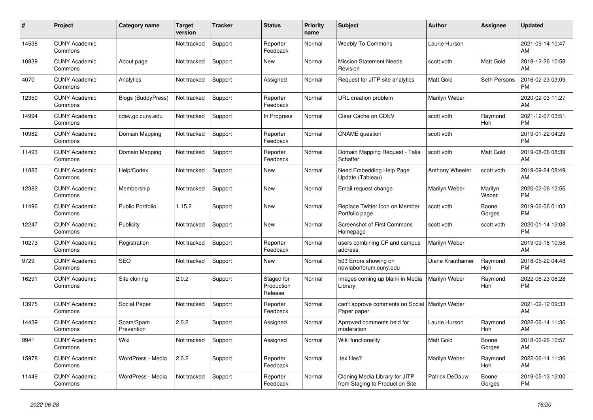| #     | Project                         | Category name             | <b>Target</b><br>version | <b>Tracker</b> | <b>Status</b>                       | <b>Priority</b><br>name | <b>Subject</b>                                                    | <b>Author</b>    | <b>Assignee</b>       | <b>Updated</b>                |
|-------|---------------------------------|---------------------------|--------------------------|----------------|-------------------------------------|-------------------------|-------------------------------------------------------------------|------------------|-----------------------|-------------------------------|
| 14538 | <b>CUNY Academic</b><br>Commons |                           | Not tracked              | Support        | Reporter<br>Feedback                | Normal                  | <b>Weebly To Commons</b>                                          | Laurie Hurson    |                       | 2021-09-14 10:47<br>AM        |
| 10839 | <b>CUNY Academic</b><br>Commons | About page                | Not tracked              | Support        | New                                 | Normal                  | <b>Mission Statement Needs</b><br>Revision                        | scott voth       | <b>Matt Gold</b>      | 2018-12-26 10:58<br>AM        |
| 4070  | <b>CUNY Academic</b><br>Commons | Analytics                 | Not tracked              | Support        | Assigned                            | Normal                  | Request for JITP site analytics                                   | Matt Gold        | Seth Persons          | 2016-02-23 03:09<br><b>PM</b> |
| 12350 | <b>CUNY Academic</b><br>Commons | <b>Blogs (BuddyPress)</b> | Not tracked              | Support        | Reporter<br>Feedback                | Normal                  | URL creation problem                                              | Marilyn Weber    |                       | 2020-02-03 11:27<br>AM        |
| 14994 | <b>CUNY Academic</b><br>Commons | cdev.gc.cuny.edu          | Not tracked              | Support        | In Progress                         | Normal                  | Clear Cache on CDEV                                               | scott voth       | Raymond<br>Hoh        | 2021-12-07 03:51<br><b>PM</b> |
| 10982 | <b>CUNY Academic</b><br>Commons | Domain Mapping            | Not tracked              | Support        | Reporter<br>Feedback                | Normal                  | <b>CNAME</b> question                                             | scott voth       |                       | 2019-01-22 04:29<br><b>PM</b> |
| 11493 | <b>CUNY Academic</b><br>Commons | Domain Mapping            | Not tracked              | Support        | Reporter<br>Feedback                | Normal                  | Domain Mapping Request - Talia<br>Schaffer                        | scott voth       | <b>Matt Gold</b>      | 2019-08-06 08:39<br>AM        |
| 11883 | <b>CUNY Academic</b><br>Commons | Help/Codex                | Not tracked              | Support        | <b>New</b>                          | Normal                  | Need Embedding Help Page<br>Update (Tableau)                      | Anthony Wheeler  | scott voth            | 2019-09-24 08:49<br>AM        |
| 12382 | <b>CUNY Academic</b><br>Commons | Membership                | Not tracked              | Support        | <b>New</b>                          | Normal                  | Email request change                                              | Marilyn Weber    | Marilyn<br>Weber      | 2020-02-06 12:56<br><b>PM</b> |
| 11496 | <b>CUNY Academic</b><br>Commons | <b>Public Portfolio</b>   | 1.15.2                   | Support        | <b>New</b>                          | Normal                  | Replace Twitter Icon on Member<br>Portfolio page                  | scott voth       | Boone<br>Gorges       | 2019-06-06 01:03<br><b>PM</b> |
| 12247 | <b>CUNY Academic</b><br>Commons | Publicity                 | Not tracked              | Support        | <b>New</b>                          | Normal                  | Screenshot of First Commons<br>Homepage                           | scott voth       | scott voth            | 2020-01-14 12:08<br><b>PM</b> |
| 10273 | <b>CUNY Academic</b><br>Commons | Registration              | Not tracked              | Support        | Reporter<br>Feedback                | Normal                  | users combining CF and campus<br>address                          | Marilyn Weber    |                       | 2019-09-18 10:58<br>AM        |
| 9729  | <b>CUNY Academic</b><br>Commons | <b>SEO</b>                | Not tracked              | Support        | <b>New</b>                          | Normal                  | 503 Errors showing on<br>newlaborforum.cuny.edu                   | Diane Krauthamer | Raymond<br>Hoh        | 2018-05-22 04:48<br><b>PM</b> |
| 16291 | <b>CUNY Academic</b><br>Commons | Site cloning              | 2.0.2                    | Support        | Staged for<br>Production<br>Release | Normal                  | Images coming up blank in Media<br>Library                        | Marilyn Weber    | Raymond<br>Hoh        | 2022-06-23 08:28<br><b>PM</b> |
| 13975 | <b>CUNY Academic</b><br>Commons | Social Paper              | Not tracked              | Support        | Reporter<br>Feedback                | Normal                  | can't approve comments on Social   Marilyn Weber<br>Paper paper   |                  |                       | 2021-02-12 09:33<br>AM        |
| 14439 | <b>CUNY Academic</b><br>Commons | Spam/Spam<br>Prevention   | 2.0.2                    | Support        | Assigned                            | Normal                  | Aprroved comments held for<br>moderation                          | Laurie Hurson    | Raymond<br><b>Hoh</b> | 2022-06-14 11:36<br>AM        |
| 9941  | <b>CUNY Academic</b><br>Commons | Wiki                      | Not tracked              | Support        | Assigned                            | Normal                  | Wiki functionality                                                | <b>Matt Gold</b> | Boone<br>Gorges       | 2018-06-26 10:57<br>AM        |
| 15978 | <b>CUNY Academic</b><br>Commons | WordPress - Media         | 2.0.2                    | Support        | Reporter<br>Feedback                | Normal                  | tex files?                                                        | Marilyn Weber    | Raymond<br><b>Hoh</b> | 2022-06-14 11:36<br>AM        |
| 11449 | <b>CUNY Academic</b><br>Commons | WordPress - Media         | Not tracked              | Support        | Reporter<br>Feedback                | Normal                  | Cloning Media Library for JITP<br>from Staging to Production Site | Patrick DeDauw   | Boone<br>Gorges       | 2019-05-13 12:00<br><b>PM</b> |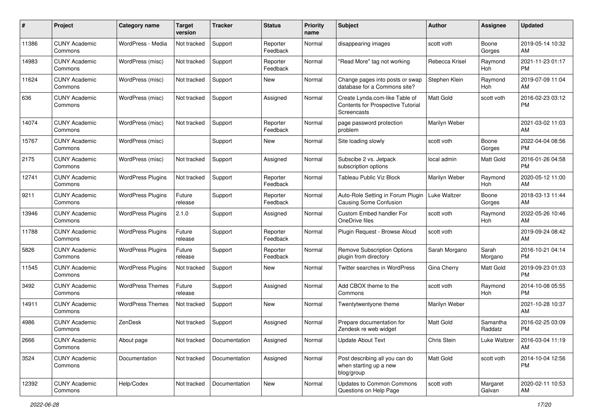| #     | Project                         | <b>Category name</b>     | <b>Target</b><br>version | <b>Tracker</b> | <b>Status</b>        | <b>Priority</b><br>name | <b>Subject</b>                                                                            | Author           | <b>Assignee</b>     | <b>Updated</b>                |
|-------|---------------------------------|--------------------------|--------------------------|----------------|----------------------|-------------------------|-------------------------------------------------------------------------------------------|------------------|---------------------|-------------------------------|
| 11386 | <b>CUNY Academic</b><br>Commons | WordPress - Media        | Not tracked              | Support        | Reporter<br>Feedback | Normal                  | disappearing images                                                                       | scott voth       | Boone<br>Gorges     | 2019-05-14 10:32<br>AM        |
| 14983 | <b>CUNY Academic</b><br>Commons | WordPress (misc)         | Not tracked              | Support        | Reporter<br>Feedback | Normal                  | "Read More" tag not working                                                               | Rebecca Krisel   | Raymond<br>Hoh      | 2021-11-23 01:17<br>PM        |
| 11624 | <b>CUNY Academic</b><br>Commons | WordPress (misc)         | Not tracked              | Support        | New                  | Normal                  | Change pages into posts or swap<br>database for a Commons site?                           | Stephen Klein    | Raymond<br>Hoh      | 2019-07-09 11:04<br>AM        |
| 636   | <b>CUNY Academic</b><br>Commons | WordPress (misc)         | Not tracked              | Support        | Assigned             | Normal                  | Create Lynda.com-like Table of<br><b>Contents for Prospective Tutorial</b><br>Screencasts | Matt Gold        | scott voth          | 2016-02-23 03:12<br><b>PM</b> |
| 14074 | <b>CUNY Academic</b><br>Commons | WordPress (misc)         | Not tracked              | Support        | Reporter<br>Feedback | Normal                  | page password protection<br>problem                                                       | Marilyn Weber    |                     | 2021-03-02 11:03<br>AM        |
| 15767 | <b>CUNY Academic</b><br>Commons | WordPress (misc)         |                          | Support        | New                  | Normal                  | Site loading slowly                                                                       | scott voth       | Boone<br>Gorges     | 2022-04-04 08:56<br><b>PM</b> |
| 2175  | <b>CUNY Academic</b><br>Commons | WordPress (misc)         | Not tracked              | Support        | Assigned             | Normal                  | Subscibe 2 vs. Jetpack<br>subscription options                                            | local admin      | <b>Matt Gold</b>    | 2016-01-26 04:58<br><b>PM</b> |
| 12741 | <b>CUNY Academic</b><br>Commons | <b>WordPress Plugins</b> | Not tracked              | Support        | Reporter<br>Feedback | Normal                  | Tableau Public Viz Block                                                                  | Marilyn Weber    | Raymond<br>Hoh      | 2020-05-12 11:00<br>AM        |
| 9211  | <b>CUNY Academic</b><br>Commons | <b>WordPress Plugins</b> | Future<br>release        | Support        | Reporter<br>Feedback | Normal                  | Auto-Role Setting in Forum Plugin<br><b>Causing Some Confusion</b>                        | Luke Waltzer     | Boone<br>Gorges     | 2018-03-13 11:44<br>AM        |
| 13946 | <b>CUNY Academic</b><br>Commons | <b>WordPress Plugins</b> | 2.1.0                    | Support        | Assigned             | Normal                  | Custom Embed handler For<br>OneDrive files                                                | scott voth       | Raymond<br>Hoh      | 2022-05-26 10:46<br>AM        |
| 11788 | <b>CUNY Academic</b><br>Commons | <b>WordPress Plugins</b> | Future<br>release        | Support        | Reporter<br>Feedback | Normal                  | Plugin Request - Browse Aloud                                                             | scott voth       |                     | 2019-09-24 08:42<br>AM        |
| 5826  | <b>CUNY Academic</b><br>Commons | <b>WordPress Plugins</b> | Future<br>release        | Support        | Reporter<br>Feedback | Normal                  | <b>Remove Subscription Options</b><br>plugin from directory                               | Sarah Morgano    | Sarah<br>Morgano    | 2016-10-21 04:14<br>PM        |
| 11545 | <b>CUNY Academic</b><br>Commons | <b>WordPress Plugins</b> | Not tracked              | Support        | New                  | Normal                  | Twitter searches in WordPress                                                             | Gina Cherry      | Matt Gold           | 2019-09-23 01:03<br><b>PM</b> |
| 3492  | <b>CUNY Academic</b><br>Commons | <b>WordPress Themes</b>  | Future<br>release        | Support        | Assigned             | Normal                  | Add CBOX theme to the<br>Commons                                                          | scott voth       | Raymond<br>Hoh      | 2014-10-08 05:55<br>PM        |
| 14911 | <b>CUNY Academic</b><br>Commons | <b>WordPress Themes</b>  | Not tracked              | Support        | New                  | Normal                  | Twentytwentyone theme                                                                     | Marilyn Weber    |                     | 2021-10-28 10:37<br>AM        |
| 4986  | <b>CUNY Academic</b><br>Commons | ZenDesk                  | Not tracked              | Support        | Assigned             | Normal                  | Prepare documentation for<br>Zendesk re web widget                                        | <b>Matt Gold</b> | Samantha<br>Raddatz | 2016-02-25 03:09<br><b>PM</b> |
| 2666  | <b>CUNY Academic</b><br>Commons | About page               | Not tracked              | Documentation  | Assigned             | Normal                  | <b>Update About Text</b>                                                                  | Chris Stein      | Luke Waltzer        | 2016-03-04 11:19<br>AM        |
| 3524  | <b>CUNY Academic</b><br>Commons | Documentation            | Not tracked              | Documentation  | Assigned             | Normal                  | Post describing all you can do<br>when starting up a new<br>blog/group                    | Matt Gold        | scott voth          | 2014-10-04 12:56<br><b>PM</b> |
| 12392 | <b>CUNY Academic</b><br>Commons | Help/Codex               | Not tracked              | Documentation  | New                  | Normal                  | <b>Updates to Common Commons</b><br>Questions on Help Page                                | scott voth       | Margaret<br>Galvan  | 2020-02-11 10:53<br>AM        |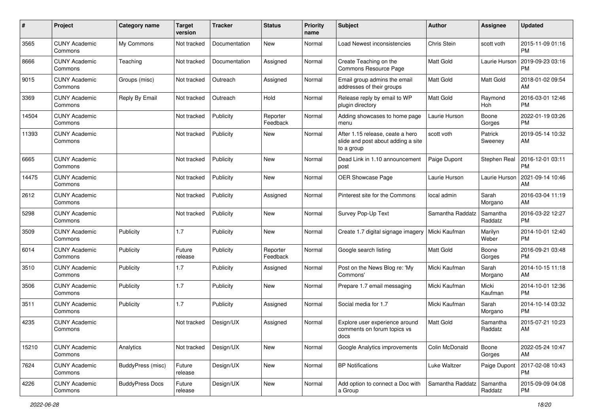| #     | Project                         | <b>Category name</b>   | <b>Target</b><br>version | <b>Tracker</b> | <b>Status</b>        | <b>Priority</b><br>name | <b>Subject</b>                                                                       | Author           | <b>Assignee</b>     | <b>Updated</b>                |
|-------|---------------------------------|------------------------|--------------------------|----------------|----------------------|-------------------------|--------------------------------------------------------------------------------------|------------------|---------------------|-------------------------------|
| 3565  | <b>CUNY Academic</b><br>Commons | My Commons             | Not tracked              | Documentation  | <b>New</b>           | Normal                  | Load Newest inconsistencies                                                          | Chris Stein      | scott voth          | 2015-11-09 01:16<br><b>PM</b> |
| 8666  | <b>CUNY Academic</b><br>Commons | Teaching               | Not tracked              | Documentation  | Assigned             | Normal                  | Create Teaching on the<br>Commons Resource Page                                      | <b>Matt Gold</b> | Laurie Hurson       | 2019-09-23 03:16<br>PM        |
| 9015  | <b>CUNY Academic</b><br>Commons | Groups (misc)          | Not tracked              | Outreach       | Assigned             | Normal                  | Email group admins the email<br>addresses of their groups                            | Matt Gold        | Matt Gold           | 2018-01-02 09:54<br>AM        |
| 3369  | <b>CUNY Academic</b><br>Commons | Reply By Email         | Not tracked              | Outreach       | Hold                 | Normal                  | Release reply by email to WP<br>plugin directory                                     | <b>Matt Gold</b> | Raymond<br>Hoh      | 2016-03-01 12:46<br><b>PM</b> |
| 14504 | <b>CUNY Academic</b><br>Commons |                        | Not tracked              | Publicity      | Reporter<br>Feedback | Normal                  | Adding showcases to home page<br>menu                                                | Laurie Hurson    | Boone<br>Gorges     | 2022-01-19 03:26<br><b>PM</b> |
| 11393 | <b>CUNY Academic</b><br>Commons |                        | Not tracked              | Publicity      | New                  | Normal                  | After 1.15 release, ceate a hero<br>slide and post about adding a site<br>to a group | scott voth       | Patrick<br>Sweeney  | 2019-05-14 10:32<br>AM        |
| 6665  | <b>CUNY Academic</b><br>Commons |                        | Not tracked              | Publicity      | New                  | Normal                  | Dead Link in 1.10 announcement<br>post                                               | Paige Dupont     | Stephen Real        | 2016-12-01 03:11<br><b>PM</b> |
| 14475 | <b>CUNY Academic</b><br>Commons |                        | Not tracked              | Publicity      | New                  | Normal                  | OER Showcase Page                                                                    | Laurie Hurson    | Laurie Hurson       | 2021-09-14 10:46<br>AM        |
| 2612  | <b>CUNY Academic</b><br>Commons |                        | Not tracked              | Publicity      | Assigned             | Normal                  | Pinterest site for the Commons                                                       | local admin      | Sarah<br>Morgano    | 2016-03-04 11:19<br>AM        |
| 5298  | <b>CUNY Academic</b><br>Commons |                        | Not tracked              | Publicity      | <b>New</b>           | Normal                  | Survey Pop-Up Text                                                                   | Samantha Raddatz | Samantha<br>Raddatz | 2016-03-22 12:27<br><b>PM</b> |
| 3509  | <b>CUNY Academic</b><br>Commons | Publicity              | 1.7                      | Publicity      | <b>New</b>           | Normal                  | Create 1.7 digital signage imagery                                                   | Micki Kaufman    | Marilyn<br>Weber    | 2014-10-01 12:40<br><b>PM</b> |
| 6014  | <b>CUNY Academic</b><br>Commons | Publicity              | Future<br>release        | Publicity      | Reporter<br>Feedback | Normal                  | Google search listing                                                                | Matt Gold        | Boone<br>Gorges     | 2016-09-21 03:48<br><b>PM</b> |
| 3510  | <b>CUNY Academic</b><br>Commons | Publicity              | 1.7                      | Publicity      | Assigned             | Normal                  | Post on the News Blog re: 'My<br>Commons'                                            | Micki Kaufman    | Sarah<br>Morgano    | 2014-10-15 11:18<br>AM        |
| 3506  | <b>CUNY Academic</b><br>Commons | Publicity              | 1.7                      | Publicity      | <b>New</b>           | Normal                  | Prepare 1.7 email messaging                                                          | Micki Kaufman    | Micki<br>Kaufman    | 2014-10-01 12:36<br><b>PM</b> |
| 3511  | <b>CUNY Academic</b><br>Commons | Publicity              | 1.7                      | Publicity      | Assigned             | Normal                  | Social media for 1.7                                                                 | Micki Kaufman    | Sarah<br>Morgano    | 2014-10-14 03:32<br><b>PM</b> |
| 4235  | <b>CUNY Academic</b><br>Commons |                        | Not tracked              | Design/UX      | Assigned             | Normal                  | Explore user experience around<br>comments on forum topics vs<br>docs                | Matt Gold        | Samantha<br>Raddatz | 2015-07-21 10:23<br>AM        |
| 15210 | <b>CUNY Academic</b><br>Commons | Analytics              | Not tracked              | Design/UX      | New                  | Normal                  | Google Analytics improvements                                                        | Colin McDonald   | Boone<br>Gorges     | 2022-05-24 10:47<br>AM        |
| 7624  | <b>CUNY Academic</b><br>Commons | BuddyPress (misc)      | Future<br>release        | Design/UX      | New                  | Normal                  | <b>BP Notifications</b>                                                              | Luke Waltzer     | Paige Dupont        | 2017-02-08 10:43<br><b>PM</b> |
| 4226  | <b>CUNY Academic</b><br>Commons | <b>BuddyPress Docs</b> | Future<br>release        | Design/UX      | New                  | Normal                  | Add option to connect a Doc with<br>a Group                                          | Samantha Raddatz | Samantha<br>Raddatz | 2015-09-09 04:08<br>PM        |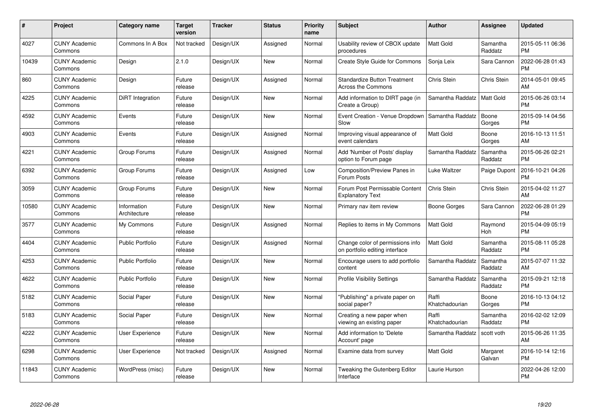| #     | Project                         | Category name               | Target<br>version | <b>Tracker</b> | <b>Status</b> | <b>Priority</b><br>name | <b>Subject</b>                                                     | Author                  | <b>Assignee</b>     | <b>Updated</b>                |
|-------|---------------------------------|-----------------------------|-------------------|----------------|---------------|-------------------------|--------------------------------------------------------------------|-------------------------|---------------------|-------------------------------|
| 4027  | <b>CUNY Academic</b><br>Commons | Commons In A Box            | Not tracked       | Design/UX      | Assigned      | Normal                  | Usability review of CBOX update<br>procedures                      | <b>Matt Gold</b>        | Samantha<br>Raddatz | 2015-05-11 06:36<br><b>PM</b> |
| 10439 | <b>CUNY Academic</b><br>Commons | Design                      | 2.1.0             | Design/UX      | <b>New</b>    | Normal                  | <b>Create Style Guide for Commons</b>                              | Sonja Leix              | Sara Cannon         | 2022-06-28 01:43<br><b>PM</b> |
| 860   | <b>CUNY Academic</b><br>Commons | Design                      | Future<br>release | Design/UX      | Assigned      | Normal                  | <b>Standardize Button Treatment</b><br>Across the Commons          | Chris Stein             | Chris Stein         | 2014-05-01 09:45<br>AM        |
| 4225  | <b>CUNY Academic</b><br>Commons | DiRT Integration            | Future<br>release | Design/UX      | <b>New</b>    | Normal                  | Add information to DIRT page (in<br>Create a Group)                | Samantha Raddatz        | Matt Gold           | 2015-06-26 03:14<br><b>PM</b> |
| 4592  | <b>CUNY Academic</b><br>Commons | Events                      | Future<br>release | Design/UX      | <b>New</b>    | Normal                  | Event Creation - Venue Dropdown   Samantha Raddatz<br>Slow         |                         | Boone<br>Gorges     | 2015-09-14 04:56<br><b>PM</b> |
| 4903  | <b>CUNY Academic</b><br>Commons | Events                      | Future<br>release | Design/UX      | Assigned      | Normal                  | Improving visual appearance of<br>event calendars                  | Matt Gold               | Boone<br>Gorges     | 2016-10-13 11:51<br>AM        |
| 4221  | <b>CUNY Academic</b><br>Commons | Group Forums                | Future<br>release | Design/UX      | Assigned      | Normal                  | Add 'Number of Posts' display<br>option to Forum page              | Samantha Raddatz        | Samantha<br>Raddatz | 2015-06-26 02:21<br><b>PM</b> |
| 6392  | <b>CUNY Academic</b><br>Commons | Group Forums                | Future<br>release | Design/UX      | Assigned      | Low                     | <b>Composition/Preview Panes in</b><br>Forum Posts                 | Luke Waltzer            | Paige Dupont        | 2016-10-21 04:26<br><b>PM</b> |
| 3059  | <b>CUNY Academic</b><br>Commons | Group Forums                | Future<br>release | Design/UX      | <b>New</b>    | Normal                  | Forum Post Permissable Content<br><b>Explanatory Text</b>          | Chris Stein             | Chris Stein         | 2015-04-02 11:27<br>AM        |
| 10580 | <b>CUNY Academic</b><br>Commons | Information<br>Architecture | Future<br>release | Design/UX      | <b>New</b>    | Normal                  | Primary nav item review                                            | Boone Gorges            | Sara Cannon         | 2022-06-28 01:29<br><b>PM</b> |
| 3577  | <b>CUNY Academic</b><br>Commons | My Commons                  | Future<br>release | Design/UX      | Assigned      | Normal                  | Replies to items in My Commons                                     | Matt Gold               | Raymond<br>Hoh      | 2015-04-09 05:19<br><b>PM</b> |
| 4404  | <b>CUNY Academic</b><br>Commons | <b>Public Portfolio</b>     | Future<br>release | Design/UX      | Assigned      | Normal                  | Change color of permissions info<br>on portfolio editing interface | Matt Gold               | Samantha<br>Raddatz | 2015-08-11 05:28<br><b>PM</b> |
| 4253  | <b>CUNY Academic</b><br>Commons | <b>Public Portfolio</b>     | Future<br>release | Design/UX      | <b>New</b>    | Normal                  | Encourage users to add portfolio<br>content                        | Samantha Raddatz        | Samantha<br>Raddatz | 2015-07-07 11:32<br>AM        |
| 4622  | <b>CUNY Academic</b><br>Commons | <b>Public Portfolio</b>     | Future<br>release | Design/UX      | New           | Normal                  | <b>Profile Visibility Settings</b>                                 | Samantha Raddatz        | Samantha<br>Raddatz | 2015-09-21 12:18<br><b>PM</b> |
| 5182  | <b>CUNY Academic</b><br>Commons | Social Paper                | Future<br>release | Design/UX      | <b>New</b>    | Normal                  | 'Publishing" a private paper on<br>social paper?                   | Raffi<br>Khatchadourian | Boone<br>Gorges     | 2016-10-13 04:12<br><b>PM</b> |
| 5183  | <b>CUNY Academic</b><br>Commons | Social Paper                | Future<br>release | Design/UX      | <b>New</b>    | Normal                  | Creating a new paper when<br>viewing an existing paper             | Raffi<br>Khatchadourian | Samantha<br>Raddatz | 2016-02-02 12:09<br><b>PM</b> |
| 4222  | <b>CUNY Academic</b><br>Commons | User Experience             | Future<br>release | Design/UX      | New           | Normal                  | Add information to 'Delete<br>Account' page                        | Samantha Raddatz        | scott voth          | 2015-06-26 11:35<br>AM        |
| 6298  | <b>CUNY Academic</b><br>Commons | User Experience             | Not tracked       | Design/UX      | Assigned      | Normal                  | Examine data from survey                                           | <b>Matt Gold</b>        | Margaret<br>Galvan  | 2016-10-14 12:16<br><b>PM</b> |
| 11843 | <b>CUNY Academic</b><br>Commons | WordPress (misc)            | Future<br>release | Design/UX      | <b>New</b>    | Normal                  | Tweaking the Gutenberg Editor<br>Interface                         | Laurie Hurson           |                     | 2022-04-26 12:00<br>PM        |